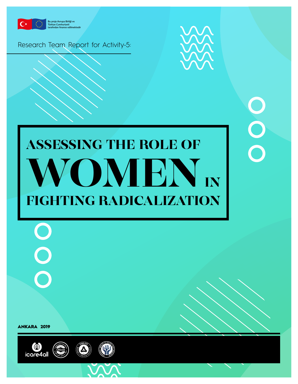

**Bu proje Avrupa Birliği ve Türkiye Cumhuriyeti tarafından finanse edilmektedir**

Research Team Report for Activity-5:



 $\overline{O}$ 

# ASSESSING THE ROLE OF WOMEN IN FIGHTING RADICALIZATION

ANKARA 2019

 $\bigcirc$ 

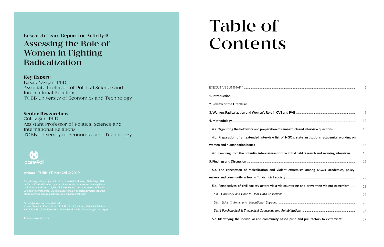|                                                                                                      | 1  |
|------------------------------------------------------------------------------------------------------|----|
|                                                                                                      | 3  |
|                                                                                                      | 5  |
|                                                                                                      | 9  |
|                                                                                                      | 13 |
|                                                                                                      | 13 |
| 4.b. Preparation of an extended interview list of NGOs, state institutions, academics working on     |    |
|                                                                                                      | 16 |
| 4.c. Sampling from the potential interviewees for the initial field research and securing interviews | 18 |
|                                                                                                      | 21 |
| 5.a. The conception of radicalization and violent extremism among NGOs, academics, policy-           |    |
|                                                                                                      | 21 |
| 5.b. Perspectives of civil society actors vis-à-vis countering and preventing violent extremism      | 23 |
|                                                                                                      | 23 |
|                                                                                                      | 23 |
|                                                                                                      | 24 |
| 5.c. Identifying the individual and community-based push and pull factors to extremism:              | 25 |

Research Team Report for Activity-5: Assessing the Role of Women in Fighting Radicalization

#### Key Expert:

Başak Yavçan, PhD Associate Professor of Political Science and International Relations TOBB University of Economics and Technology

#### Senior Researcher:

Gülriz Şen, PhD Assistant Professor of Political Science and International Relations TOBB University of Economics and Technology



# Table of Contents

#### **Ankara - TÜRKİYE icare4all © 2019**

**makul alıntılar dışında, hiçbir şekilde önceden izin alınmaksızın kullanılamaz, aittir; icare4all'ın kurumsal görüşünü yansıtmamaktadır.**

**Ortadoğu Araştırmaları Merkezi Adresi : Mustafa Kemal Mah. 2128 Sk. No: 3 Çankaya, ANKARA Telefon: +90 850 888 15 20 Faks: +90 (312) 430 39 48 Email: orsam@orsam.org.tr**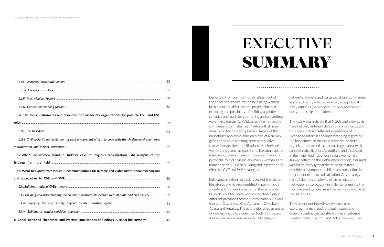|                                                                                                               | 25       |
|---------------------------------------------------------------------------------------------------------------|----------|
|                                                                                                               | 26       |
|                                                                                                               | 28       |
|                                                                                                               | 30       |
| 5.d. The tools, instruments and resources of civil society organizations for possible CVE and PVE             |          |
|                                                                                                               | 33       |
|                                                                                                               | 33       |
| 5.d.ii. Civil society's self-evaluation of past and present efforts to cope with the challenges of countering |          |
|                                                                                                               | 35       |
|                                                                                                               |          |
| 5.e. Where do women stand in Turkey's case of religious radicalization?: An analysis of the                   |          |
|                                                                                                               | 36       |
| 5.f. What to expect from future? Recommendations for durable and viable institutional mechanisms              |          |
|                                                                                                               | 38       |
|                                                                                                               | 38       |
| 5.f.ii.'Building and disseminating the counter-narratives: Respective roles of state and civil society        | 39       |
|                                                                                                               |          |
|                                                                                                               | 43<br>43 |

Departing from an intention of refinement of the concept of radicalization by placing women in this process, this research project aimed at exploring the possibility of building a gendersensitive approach for countering and preventing violent extremism (C/PVE), as an alternative and complement to "malestream" efforts that have dominated the field and practice. Aware of the importance and complementary role of a civilian, gender-sensitive and long-term perspective that will target the rehabilitation of society and women, and given the gaps in the literature on the issue area, the major aim of the research was to probe the role of civil society, mainly women's and humanitarian NGOs in building and implementing effective CVE and PVE strategies.

networks, lawyers and bar associations, community leaders, directly affected women, local political party affiliates (both opposition and government party), and religious leaders.

Following an extensive desk review of the related literatures and having identified important civil society and community actors in the issue area, 80 in-depth interviews were conducted in eight different provinces across Turkey, namely, Ankara, Istanbul, Gaziantep, Kilis, Adıyaman, Diyarbakır, Adana and Antakya. The actors identified as points of interest included academics, both faith-based and secular humanitarian aid NGOs, religious to CVE and PVE. Throughout our interviews, we have also explored the main push and pull factors and enablers outlined in the literature in an attempt to inform effective CVE and PVE strategies. The



The interviews indicate that NGOs and individuals have not only different definitions of radicalization but they also have different evaluations of it. Despite an interest and understanding regarding the importance of the issue, most civil society organizations lacked a clear strategy to deal with cases of radicalization. As outlined and discussed in the major findings of our report, women from Turkey, reflecting the global phenomenon, assumed varying roles as sympathizers, perpetrators, possible preventers, rehabilitators and victims in their relationship to radicalization. Any strategy has to take the complexity of these roles and motivations into account in order to formulate the much-needed gender-sensitive, inclusive approach

# EXECUTIVE **SUMMARY**

####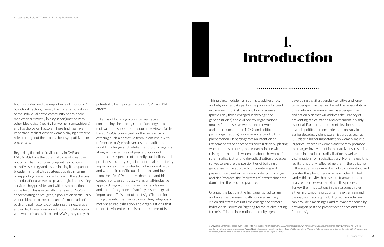terrorism" in the international security agenda,

This project module mainly aims to address how and why women take part in the process of violent extremism in Turkish case and how academia (particularly those engaged in theology and gender studies) and civil society organizations (mainly faith-based as well as secular women and other humanitarian NGOs and political party organizations) conceive and attend to this phenomenon. Departing from an intention of refinement of the concept of radicalization by placing women in this process, this research, in line with raising international awareness about the women's role in radicalization and de-radicalization processes, strives to explore the possibilities of building a gender-sensitive approach for countering and preventing violent extremism in order to challenge and also "correct" the "malestream" efforts that have dominated the field and practice. Granted the fact that the fight against radicalism and violent extremism mostly followed military vision and strategies until the emergence of more holistic discussions on "fighting terror vs. eliminating developing a civilian, gender-sensitive and longterm perspective that will target the rehabilitation of society and women as well as a perspective and action plan that will address the urgency of preventing radicalization and extremism is highly essential. Furthermore, current developments in world politics demonstrate that contrary to earlier decades, violent extremist groups such as ISIS place a higher importance on women, make a larger call to recruit women and thereby promote their larger involvement in their activities, resulting in a femininization of radicalization as well as victimization from radicalization.**<sup>1</sup>** Nonetheless, this reality is not fully reflected neither in the policy nor in the academic realm and efforts to understand and counter this phenomenon remain rather limited. Under this activity the research team aspires to analyse the roles women play in this process in Turkey, their motivations in their assumed roles either in promoting or countering extremism and the ways civil society, including women activism, can provide a meaningful and relevant response by drawing on past and present experience and offer future insight.



findings underlined the importance of Economic/ Structural Factors, namely the material conditions of the individual or the community not as a sole motivator but mostly in play in conjunction with other Ideological (heavily for women sympathizers) and Psychological Factors. These findings have important implications for women playing different roles throughout the process be it sympathizers or preventers.

Regarding the role of civil society in CVE and PVE, NGOs have the potential to be of great use not only in terms of coming up with a counternarrative strategy and disseminating it as a part of broader national CVE strategy, but also in terms of supporting prevention efforts with the activities and educational as well as psychological counselling services they provided and with case collection in the field. This is especially the case for NGO's concentrating on refugees, a population particularly vulnerable due to the exposure of a multitude of push and pull factors. Considering their expertise and skilled human resource, through collaboration with women's and faith based NGOs, they carry the

potential to be important actors in CVE and PVE efforts.

In terms of building a counter narrative, considering the strong role of ideology as a motivator as supported by our interviews, faithbased NGOs converged on the necessity of offering such a narrative from Islam itself with reference to Qur'anic verses and hadith that would challenge and refute the ISIS propaganda along with examples of peaceful conduct, tolerance, respect to other religious beliefs and practices, plurality, rejection of racial superiority, importance of the protection of innocent, elder and women in conflictual situations and love from the life of Prophet Mohammad and his companions, or *sahabah*. Here, an all-inclusive approach regarding different social classes and sectarian groups of society assumes great importance. This is of utmost significance for filling the information gap regarding religiously motivated radicalization and organizations that resort to violent extremism in the name of Islam.

# 1. **Introduction**

<sup>1</sup> UN Women Conference Report. "Women's role vital in countering violent extremism.", 2017. [http://asiapacific.unwomen.org/en/news-and-events/stories/2017/10/womens-role-vital-in](http://asiapacific.unwomen.org/en/news-and-events/stories/2017/10/womens-role-vital-in-countering-violent-extremism)[countering-violent-extremism](http://asiapacific.unwomen.org/en/news-and-events/stories/2017/10/womens-role-vital-in-countering-violent-extremism) (accessed on August 12, 2018); Brussels International Center Report. "Different Roles of Women in Violent Extremism and Counter-Terrorism", 2017 [https://www.](https://www.bic-rhr.com/different-roles-of-women-in-violent-extremism/) [bic-rhr.com/different-roles-of-women-in-violent-extremism/\(](https://www.bic-rhr.com/different-roles-of-women-in-violent-extremism/)accessed on August 10, 2018)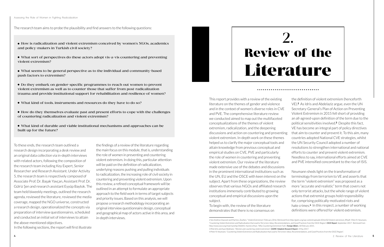To these ends, the research team outlined a research design incorporating a desk review and an original data collection via in-depth interviews with related actors, following the composition of the research team including Key Expert, Senior Researcher and Research Assistant. Under Activity 5, the research team is respectively composed of Associate Prof. Dr. Başak Yavçan, Assistant Prof. Dr. Gülriz Şen and research assistant Eyyüp Baytok. The team held biweekly meetings, outlined the research agenda, reviewed the literature, reviewed the media coverage, mapped the NGO universe, constructed a research design, operationalized the concepts via preparation of interview questionnaires, scheduled and conducted an initial set of interviews to attain the above-mentioned objectives. In the following sections, the report will first illustrate

the findings of a review of the literature regarding the main focus on this module, that is, understanding the role of women in preventing and countering violent extremism. In doing this, particular attention will be paid on the definition of radicalization, underlying reasons pushing and pulling individuals to radicalization, the increasing role of civil society in countering and preventing violent extremism. Upon this review, a refined conceptual framework will be outlined in an attempt to formulate an appropriate approach to the field work in terms of target subjects and priority issues. Based on this analysis, we will propose a research methodology incorporating an original interview questionnaire design, conceptual and geographical map of actors active in this area, and in-depth interviews.

This report provides with a review of the existing literature on the themes of gender and violence and in the context of women's diverse roles in CVE and PVE. The comprehensive literature review we conducted aimed to map out the multifaceted conceptualizations of the themes of violent extremism, radicalization, and the deepening discussions and action on countering and preventing violent extremism. In-depth work on these themes helped us to clarify the major conceptual tools and attain knowledge from previous conceptual and empirical studies on CVE, PVE and particularly the role of women in countering and preventing violent extremism. Our review of the literature made extensive use of the debates and discussions in the prominent international institutions such as the UN, EU and the OSCE with keen interest on the subject. Apart from these organizations, the review observes that various NGOs and affiliated research institutions immensely contributed to growing conceptual and empirical discussions upon the subject. To begin with, the review of the literature demonstrates that there is no consensus on the definition of violent extremism (henceforth VE).**2** As Idris and Abdelaziz argue, even the UN Secretary-General's Plan of Action on Preventing Violent Extremism in 2015 fell short of providing an all-agreed-upon definition of the term due to the political sensitivities involved.**3** Despite this fact, VE has become an integral part of policy directives that aim to counter and prevent it. To this aim, many countries adopted National CVE strategies, whilst the UN Security Council adopted a number of resolutions to strengthen international and national efforts to counter and prevent violent extremism. Needless to say, international efforts aimed at CVE and PVE intensified concomitant to the rise of ISIS. Neumann sheds light on the transformation of terminology from terrorism to VE and asserts that the term "violent extremism" was proposed as a more "accurate and realistic" term that covers not only terrorist attacks, but the whole range of violent actions that extremist groups hold responsibility for, comprising politically-motivated riots and hate crimes.**4** In this respect, a number of working definitions were offered for violent extremism.

Assessing the Role of Women in Fighting Radicalization

- How is radicalization and violent extremism conceived by women's NGOs, academics and policy-makers in Turkish civil society?
- What sort of perspectives do these actors adopt vis-a-vis countering and preventing violent extremism?
- What seems to be general perspective as to the individual and community-based push factors to extremism?
- Do they embark on gender-specific programmes to reach out women to prevent violent extremism as well as to counter those that suffer from post-radicalization trauma and provide institutional support for rehabilitation and resilience of women?
- What kind of tools, instruments and resources do they have to do so?
- How do they themselves evaluate past and present efforts to cope with the challenges of countering radicalization and violent extremism?
- What kind of durable and viable institutional mechanisms and approaches can be built up for the future?



The research team aims to probe the plausibility and find answers to the following questions:

<sup>2</sup> See Andrew Glazzard and Martine, Zeuthen. "Violent Extremism", February 2016. Retrieved from [http://gsdrc.org/wp-content/uploads/2016/02/Violent-extremism\\_RP.pdf](http://gsdrc.org/wp-content/uploads/2016/02/Violent-extremism_RP.pdf) ; Peter R. Neumann, "Countering Violent Extremism and Radicalisation that Lead to Terrorism: Ideas, Recommendations, and Good Practices from the OSCE Region". *OSCE Report*, September 2017. Retrieved from <http://www.osce.org/chairmanship/346841>; Humera Khan, "Why Countering Extremism Fails", *Foreign Affairs*, 18 February 2015. 3 Iffat Idris and Ayat Abdelaziz, "Women and countering violent extremism", *GSDRC Helpdesk Research Report*, 4 May 2017. 4 Peter R. Neumann, "Countering Violent Extremism and Radicalisation that Lead to Terrorism: Ideas, Recommendations, and Good Practices from the OSCE Region".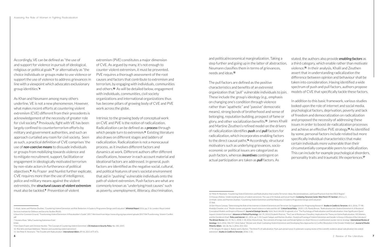Accordingly, VE can be defined as "the use of and support for violence in pursuit of ideological, religious or political goals"**5** or alternatively as "the choice individuals or groups make to use violence or support the use of violence to address grievances in line with a viewpoint which advocates exclusionary group identities."**<sup>6</sup>**

As Khan and Neumann among many others underline, VE is not a new phenomenon. However, what makes recent efforts at countering violent extremism (CVE) different from their precedents is acknowledgement of the necessity of greater role for civil society.**7** Previously, fight with VE has been largely confined to counterterrorism efforts by military and government authorities, and such an approach curtailed any room for civil society. Seen as such, a practical definition of CVE comprises 'the use of *non-coercive means* to dissuade individuals or groups from mobilizing towards violence and to mitigate recruitment, support, facilitation or engagement in ideologically motivated terrorism by non-state actors in furtherance of political objectives.'**8** As Frazer and Nunlist further explicate, CVE requires more than the use of intelligence, police and military means against the violent extremists, the *structural causes of violent extremism* must also be tackled.**9** Prevention of violent

extremism (PVE) constitutes a major dimension of CVE. As argued by many, it's not enough to counter violent extremism, it must be prevented. PVE requires a thorough assessment of the root causes and factors that contribute to extremism and terrorism, by engaging with individuals, communities and others.**10** As will be detailed below, engagement with individuals, communities, civil society organizations and international organizations thus has become pillars of growing body of CVE and PVE work across the globe.

Intrinsic to the growing body of conceptual work on CVE and PVE is the notion of radicalization. Radicalization can be defined as a *process* through which people turn to extremism.**11** Existing literature also draws on different stages and ladders of radicalization. Radicalization is not a monocausal process, as it involves different factors and dynamics at work. Different authors offer different classifications, however in each account material and ideational factors are addressed. In general, push factors are identified as the negative social, cultural, and political features of one's societal environment that aid in "pushing" vulnerable individuals onto the path of violent extremism. Push factors are what are commonly known as "underlying/root causes" such as poverty, unemployment, illiteracy, discrimination,

and political/economical marginalization. Taking a step further and going up in the latter of abstraction, Neumann classifies them in terms of grievances, needs and ideas.**<sup>12</sup>**

The pull factors are defined as the positive characteristics and benefits of an extremist organization that "pull" vulnerable individuals to join. These include the group's ideology (e.g., emphasis on changing one's condition through violence rather than "apathetic" and "passive" democratic means), strong bonds of brotherhood and sense of belonging, reputation building, prospect of fame or glory, and other socialization benefits.**13** James Khalil and Martine Zeuthen's refined model on the drivers of radicalization identifies *push* and *pull* factors for radicalization, which incorporates enabling factors to the direct causal paths.**14** Accordingly, structural motivators such as underlying grievances, socioeconomic or political issues are categorized as push factors, whereas *incentives* contingent on actual participation are taken as *pull* factors. As spectrum of push and pull factors, authors propose models of CVE that specifically tackle these factors. In addition to this basic framework, various studies looked upon the role of internet and social media, psychological factors, deprivation, poverty and lack of freedom and democratization on radicalization and proposed the necessity of addressing these issues in order to boost de-radicalization processes and achieve an effective PVE strategy.**16** As identified by some, personal factors include related but more specifically individual characteristics that make certain individuals more vulnerable than their circumstantially comparable peers to radicalization. This can include for example psychological disorders, personality traits and traumatic life experiences.**<sup>17</sup>**

stated, the authors also provide *enabling factors* as a third category, which enable rather than motivate violence.**15** In their analysis, Khalil and Zeuthen assert that in understanding radicalization the difference between opinion and behaviour shall be taken into consideration. Having identified a wide

12 Peter R. Neumann, "Countering Violent Extremism and Radicalisation that Lead to Terrorism: Ideas, Recommendations, and Good Practices from the OSCE Region". 13 Hassan, Muhsin, 'Understanding drivers of violent extremism: The case of Al-Shabab and Somali Youth", *Combating Terrorism Center West Point CTC Sentinel*, 2012, p. 5.

<sup>5</sup> Khalil, James and Martine Zeuthen, "Countering Violent Extremism and Risk Reduction: A Guide to Programme Design and Evaluation". *Whitehall Report* 2016, pp. 2-16. London: Royal United Services Institute for Defence and Security Studies (RUSI).

<sup>6</sup> Search for Common Ground, "Transforming Violent Extremism: A Peacebuilder's Guide", 2017. Retrieved from [https://www.sfcg.org/wpcontent/uploads/2017/04/Transforming- Violent-Conflict.](https://www.sfcg.org/wpcontent/uploads/2017/04/Transforming- Violent-Conflict.pdf) [pdf](https://www.sfcg.org/wpcontent/uploads/2017/04/Transforming- Violent-Conflict.pdf)

<sup>7</sup> Humera Khan, "Why Countering Extremism Fails".

<sup>8</sup> Ibid.

<sup>9</sup> See Owen Frazer and Christian Nunlist, "The Concept of Countering Violent Extremism", *CSS Analyses in Security Policy*. No. 183, 2015

<sup>10</sup> Iffat Idris and Ayat Abdelaziz, "Women and countering violent extremism".

<sup>11</sup> See Peter R. Neumann, "The Trouble with Radicalization", *International Affairs*, 89 (4), 2013, 875-876.

<sup>14</sup> Khalil, James and Martine Zeuthen, "Countering Violent Extremism and Risk Reduction: A Guide to Programme Design and Evaluation". 15 Ibid. 16 See Maura Conway, "Determining the Role of the Internet in Violent Extremism and Terrorism: Six Suggestions for Progressing Research". *Studies in Conflict & Terrorism*, 40:1, 2016, 77-98; Khatidja Chantler, et al. "Muslim women and gender-based violence in India and the UK". *Critical Social Policy*. 2018, 1-21; Randy Borum, "Radicalization into Violent Extremism II: A Review of

Conceptual Models and Empirical Research". *Journal of Strategic Security*, Vol.4, No.4; Arie W. Kruglanski, et al. "The Psychology of Radicalization and Deradicalization: How Significance Quest Impacts Violent Extremism". *Advances in Political Psychology*, Vol. 35, 2014; Elizabeth Pearson, "The Case of Roshonara Choudhry: Implications for Theory on Online Radicalization, ISIS Women, and the Gendered Jihad". Policy and Internet. 8:1, 2016, pp. 5-33; Gayatri Sahgal, and Martine Zeuthen, "Analytical Framing of Violent Extremism and Gender in Kenya: A Review of the Literature", *The African Review*, Vol. 45. No.1., 2018; 1-18; 2016, Mona Ennaji, "Recruitment of foreign male and female fighters to Jihad: Morocco's multifaceted counter-terror strategy", *International Review of Sociology*, 26:3, 2016, 546-557, Amin Saikal, "Women and Jihad: Combating Violent Extremism and Developing New Approaches to Conflict Resolution in the Greater Middle East", *Journal of Muslim Minority Affairs*. Vol. 36, No. 3, 2016, 313–322.

<sup>17</sup> M. Vergani, M. Iqbal, E. Ilbahar and G. Barton, "The three Ps of radicalization: Push, pull and personal. A systematic scoping review of the scientific evidence about radicalization into violent extremism", *Studies in Conflict & Terrorism*, 2018, 1-32.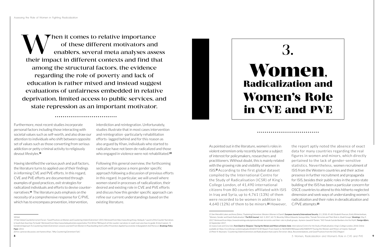

Furthermore, most recent studies incorporate personal factors including those interacting with societal values such as self-worth, and also draw our attention to individuals who shift between opposite set of values such as those converting from serious addiction or petty criminal activity to religiously devout lifestyles.**<sup>18</sup>**

Having identified the various push and pull factors, the literature turns to applied use of their findings in informing CVE and PVE efforts. In this regard, CVE and PVE efforts are documented through examples of good practices, exit strategies for radicalized individuals and efforts to devise counternarratives.**19** The literature puts emphasis on the necessity of a comprehensive response for C/PVE, which has to encompass prevention, intervention,

interdiction and reintegration. Unfortunately, studies illustrate that in most cases intervention and reintegration -particularly rehabilitation efforts- lagged behind and for this reason as also argued by Khan, individuals who started to radicalize have not been de-radicalized and those who engaged in violence were not rehabilitated.**<sup>20</sup>**

Following this general overview, the forthcoming section will propose a more gender specific approach following a discussion of previous efforts in this regard. In particular, we will unveil where women stand in processes of radicalization, their desired and existing role in CVE and PVE efforts and discuss how this gender specific approach can refine our current understandings based on the existing literature.

As pointed out in the literature, women's roles in violent extremism only recently became a subject of interest for policymakers, researchers and practitioners. Without doubt, this is mainly related with the growing role and visibility of women in ISIS.**21** According to the first global dataset compiled by the International Centre for the Study of Radicalisation (ICSR) of King's College London, of 41,490 international citizens from 80 countries affiliated with ISIS in Iraq and Syria, up to 4,761 (13%) of them were recorded to be women in addition to 4,640 (12%) of them to be minors.**22** However,

When it comes to relative importance<br>
of these different motivators and<br>
enablers, several meta analyses assess<br>
their impact in different contexts and find that of these different motivators and enablers, several meta analyses assess among the structural factors, the evidence regarding the role of poverty and lack of education is rather mixed and instead suggest evaluations of unfairness embedded in relative deprivation, limited access to public services, and state repression as an important motivator.

the report aptly noted the absence of exact data for many countries regarding the real figures in women and minors, which directly pertained to the lack of gender-sensitive statistics. Nevertheless, women recruitment of ISIS from the Western countries and their active presence in further recruitment and propaganda for ISIS, besides their public roles in the proto-state building of the ISIS has been a particular concern for OSCE countries to attend to this hitherto neglected dimension and seek ways of understanding women's radicalization and their roles in deradicalization and C/PVE attempts.**<sup>23</sup>**

**8** 3. Women, Radicalization and Women's Role in CVE and PVE **9**

#### 18 Ibid.

20 For a precise discussion, see Humera Khan, "Why Countering Extremism Fails".

21 See Meredith Loken and Anna Zelenz, "Explaining Extremism: Western Women in Daesh", *European Journal of International Security*, 3:1, 2018, 45-68; Elizabeth Pearson, Emily Winterbotham,

<sup>22</sup> Joana Cook and Gina Vale, *From Daesh to 'Diaspora': Tracing the Women and Minors of Islamic State*, International Centre for the Study of Radicalisation, King's College London, 2018. Online available at: https://icsr.info/wp-content/uploads/2018/07/ICSR-Report-From-Daesh-to-%E2%80%98Diaspora%E2%80%99-Tracing-the-Women-and-Minors-of-Islamic-State.pdf 23 Peter R. Neumann, "Countering Violent Extremism and Radicalisation that Lead to Terrorism: Ideas, Recommendations, and Good Practices from the OSCE Region".

<sup>19</sup> See Global Counterterrorism Forum, "Good Practices on Women and Countering Violent Extremism", 2015. Retrieved from http://www.the gctf.org. Hedayah, "Launch of the Counter Narratives in South East Asia How-To Guide". Retrieved from http://www.hedayahcenter.org/activites/761/2016/780/launch-of-the-counter-narratives-in-south-east-asia-how-to-guide; Krista Couture, "A Gendered Approach To Countering Violent Extremism: Lessons Learned From Women In Peacebuilding And Conflict Prevention Applied Successfully In Bangladesh And Morocco", *Brookings Policy Paper*, 2014.

<sup>&</sup>quot;Women, Gender and Daesh Radicalisation" *The RUSI Journal*, 162: 3, 2017, 60-72; Beverley Milton-Edwards, Sumaya Attia, "Female Terrorists and Their Role in Jihadi Groups", *Brookings*, May 9, 2017. Retrieved from [https://www.brookings.edu/opinions/female-terrorists-and-their-role-in-jihadi-groups;](https://www.brookings.edu/opinions/female-terrorists-and-their-role-in-jihadi-groups) Aymenn Jawad Al-Tamimi, "ISIS' Female Suicide Bombers Are No Myth", *Foreign Affairs*, 22 September 2017.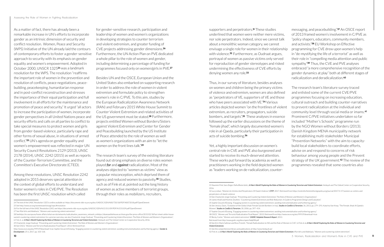As a matter of fact, there has already been a remarkable increase in UN's efforts to incorporate gender as an intrinsic dimension of security and conflict resolution. Women, Peace and Security (WPS) Initiative of the UN already laid the contours of contemporary efforts to foster a gender-sensitive approach to security with its emphasis on gender equality and women's empowerment. Adopted in October 2000, UNSCR 1325**24** was a landmark resolution for the WPS. The resolution "reaffirms the important role of women in the prevention and resolution of conflicts, peace negotiations, peacebuilding, peacekeeping, humanitarian response and in post-conflict reconstruction and stresses the importance of their equal participation and full involvement in all efforts for the maintenance and promotion of peace and security." It urged "all actors to increase the participation of women, incorporate gender perspectives in all United Nations peace and security efforts and calls on all parties to conflict to take special measures to protect women and girls from gender-based violence, particularly rape and other forms of sexual abuse, in situations of armed conflict."**25** UN's agenda on gender equality and women's empowerment was reflected in major UN Security Council Resolutions 2129 (2013), UNSC 2178 (2014), UNSC 2242 (2015) as well as reports of the Counter-Terrorism Committee, and the Committee's Executive Directorate (CTED).

Among these resolutions, UNSC Resolution 2242 adopted in 2015 deserves special attention in the context of global efforts to understand and foster women's roles in CVE/PVE. The Resolution has been the first UNSC resolution which called

for gender-sensitive research, participation and leadership of women and women's organizations in developing strategies to counter terrorism and violent extremism, and greater funding of CVE projects addressing gender dimensions.**<sup>26</sup>** Furthermore, the UN Action Plan on PVE dedicated a whole pillar to the role of women and gender, including determining a percentage of funding for programmes focused only on women/girls in PVE.**<sup>27</sup>**

Besides UN and the OSCE, European Union and the United States also embarked on supporting research in order to address the role of women in violent extremism and formulate policy to strengthen women's role in C/PVE. To this aim, studies by the European Radicalization Awareness Network (RAN) and February 2015 White House Summit to Counter Violent Extremism and related activities of the US government must be stated.**28** Furthermore, projects entitled Women without Borders/Sisters against Violent Extremism and Center for Gender and Peacebuilding launched by the US Institute of Peace attended to the role of women as well as women's organizations with an aim to "let the women on the front lines talk."**<sup>29</sup>**

The research team's survey of the existing literature found out strong emphasis on diverse roles women played *for* and *against* radicalization. Most of the analyses objected to "women as victims" view as a popular misconception, which deprived them of agency and reduced women to passivity.**30** Studies, such as of Fink et al, pointed out the long history of women as active members of terrorist groups, through their roles as mobilizers, recruiters,

Thus, in our survey of literature, besides analyses on women and children being the primary victims of violence and extremism, women are also defined as "perpetrators of VE, supporters of VE and those who have peers associated with VE."**34** Various articles depicted women "on the frontlines of violent extremism, as recruiters, propagators, suicide bombers, and targets".**35** These analyses in essence followed up the earlier discussions on the theme of "female jihad", which largely documented women's role in al-Qaeda, particularly their participation in acts of suicide bombing.**<sup>36</sup>**

supporters and perpetrators.**31** These studies underlined that women were neither mere victims, nor sole perpetrators. Indeed, since we cannot talk about a monolithic woman category, we cannot envisage a single role for women in their relationship with violence.**32** Furthermore, as Oudraat argues, portrayal of women as passive victims only served for reproduction of gender stereotypes and risked undermining the effectiveness of CVE efforts by denying women any role.**<sup>33</sup>** messaging, and peacebuilding."**37** An OSCE report of 2013 framed women's involvement in C/PVE as "policy shapers, educators, community members, and activists."**38** EU Workshop on Effective programming for CVE drew upon women's help in "de-mystifying the life of a terrorist" as well as their role in "compelling media attention and public sympathy"**39** Thus, the CVE and PVE analyses embraced "a more comprehensive recognition of the gender dynamics at play" both at different stages of radicalization and deradicalization.**<sup>40</sup>**

Yet, a highly important discussion on women's central role in CVE and PVE also burgeoned and started to receive its much-deserved attention. These works put forward by academia as well as practitioners working in the field depicted women as "leaders working on de-radicalization, counter-

The research team's literature survey traced and enlisted some of the current CVE/PVE programmes focusing on increasing education, cultural outreach and building counter-narratives to prevent radicalization at the individual and community level through social media or imams.**<sup>41</sup>** Prominent C/PVE initiatives undertaken so far included "Mother's Schools" programme run by the NGO Women without Borders (2013); Danish Kingdom MENA municipality network for establishing multi-stakeholder Municipal "Prevention Networks" with the aim to capacitybuild local stakeholders to coordinate efforts, advise on and respond to concerns of risk behaviour among young people and the Prevent strategy of the UK government.**42** The review of the programmes revealed that some countries also

**10** 3. Women, Radicalization and Women's Role in CVE and PVE **11**

[http://www.osce.org/atu/99919?download=true;](http://www.osce.org/atu/99919?download=true) Sophie Giscard d'Estaing, "Engaging women in countering violent extremism: avoiding instrumentalisation and furthering agency". *Gender & Development*, 25:1, 2017, pp. 103-118.

31 Naureen Fink, Sara Zeiger, Rafia Bhulai (eds.), *A Man's World? Exploring the Roles of Women in Countering Terrorism and Violent Extremism*. Hedayah and The Global Center on Cooperative Security,

<sup>28</sup> See[https://ec.europa.eu/home-affairs/what-we-do/networks/radicalisation\\_awareness\\_network\\_en](https://ec.europa.eu/home-affairs/what-we-do/networks/radicalisation_awareness_network_en)[https://obamawhitehouse.archives.gov/the-press-office/2015/02/18/fact-sheet-white-house](https://obamawhitehouse.archives.gov/the-press-office/2015/02/18/fact-sheet-white-house-summit-countering-violent-extremism)[summit-countering-violent-extremism](https://obamawhitehouse.archives.gov/the-press-office/2015/02/18/fact-sheet-white-house-summit-countering-violent-extremism); for a precise overview, see also Chantal de Jonge Oudraat, "Preventing and Countering Violent Etxremism: The Role of Women and Women's Organizations", in Fink et. al. A Man's World? Exploring the Roles of Women in Countering Terrorism and Violent Extremism. Hedayah and The Global Center on Cooperative Security, 2016.

<sup>24</sup> The text of the UNSC Resolution 1325 is online available at: <https://documents-dds-ny.un.org/doc/UNDOC/GEN/N00/720/18/PDF/N0072018.pdf?OpenElement> 25 See<http://www.un.org/womenwatch/osagi/wps/#resolution>

<sup>26</sup> For the full text of the UNSC Resolution 2242, see <https://documents-dds-ny.un.org/doc/UNDOC/GEN/N15/311/09/PDF/N1531109.pdf?OpenElement>

<sup>27</sup> See Iffat Idris and Abdelaziz, "Women and countering violent extremism".

<sup>29</sup> Chantal de Jonge Oudraat, "Preventing and Countering Violent Extremism: The Role of Women and Women's Organizations". 30 See OSCE, "Women and Terrorist Radicalization Final Report", 2013. Retrieved from

<sup>2016.</sup> 

<sup>32</sup> Lucy Lebun, "Women As Victims And Perpetrators Of Daesh Violence", *CFFP*, 2017. Retrieved from [https://centreforfeministforeignpolicy.org/journal/2017/1/17/women-as-victims-and](https://centreforfeministforeignpolicy.org/journal/2017/1/17/women-as-victims-and-perpetrators-of-daesh-violence)[perpetrators-of-daesh-violence](https://centreforfeministforeignpolicy.org/journal/2017/1/17/women-as-victims-and-perpetrators-of-daesh-violence)

<sup>33</sup> See Chantal de Jonge Oudraat, "Preventing and Countering Violent Extremism: The Role of Women and Women's Organizations". 34 James Khalil and Martine Zeuthen, "Countering Violent Extremism and Risk Reduction: A Guide to Programme Design and Evaluation". 35 Sophie Giscard d'Estaing, "Engaging women in countering violent extremism: avoiding instrumentalisation and furthering agency". 36 See Jessica. Davis, "Evolution of the Global Jihad: Female Suicide Bombers in Iraq", *Studies in Conflict & Terrorism*, 36, 2013, pp. 279–291; Katarina Van Knop, "The Female Jihad: Al Qaeda's Women". *Studies in Conflict & Terrorism*, 30, 2006, pp. 397–414.

<sup>37</sup> Sophie Giscard d'Estaing, "Engaging women in countering violent extremism: avoiding instrumentalisation and furthering agency". 38 OSCE, "Women and Terrorist Radicalization Final Report", 2013. Retrieved from http://www.osce.org/atu/99919?download=true 39 Becky Carter, "Women and violent extremism". *GSDRC Helpdesk Research Report*, 2013. Retrieved from<http://www.gsdrc.org/docs/open/hdq898.pdf>

<sup>40</sup> See Erin Marie Saltman and Ross Frenett, "Female Radicalization to ISIS and the Role of Women in CVE", in Fink et al, *A Man's World? Exploring the Roles of Women in Countering Terrorism and Violent Extremism*.

<sup>41</sup> See the comprehensive library and publications at<http://www.hedayah.ae/>

<sup>42</sup> Fink et. al. *A Man's World? Exploring the Roles of Women in Countering Terrorism and Violent Extremism*; Iffat Idris and Abdelaziz, "Women and countering violent extremism".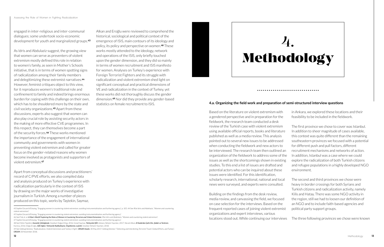engaged in inter-religious and inter-communal dialogues; some undertook socio-economic development for youth and marginalized groups.**<sup>43</sup>**

As Idris and Abdulaziz suggest, the growing view that women can serve as preventers of violent extremism mostly defined this role in relation to women's family, as seen in Mother's Schools initiative, that is in terms of women spotting signs of radicalization among their family members and delegitimizing these extremist narratives.**<sup>44</sup>** However, feminist critiques object to this view, for it reproduces women's traditional role and confinement to family and indeed brings enormous burden for coping with this challenge on their own, which has to be shouldered more by the state and civil society organizations.**45** Apart from these discussions, experts also suggest that women can also play crucial role by assisting security actors in the making of more effective CVE programmes. In this respect, they can themselves become a part of the security forces.**46** These works mentioned the importance of the engagement of international community and governments with women in preventing violent extremism and called for greater focus on the gender-related reasons why women become involved as protagonists and supporters of violent extremism.**<sup>47</sup>**

Apart from conceptual discussions and practitioners' record of C/PVE efforts, we also compiled data and analysis produced on Turkey's experience with radicalization particularly in the context of ISIS by drawing on the major works of investigative journalism in Turkish. Among a number of pieces produced on this topic, works by Taştekin, Saymaz,

Alkan and Eroğlu were reviewed to comprehend the historical, sociological and political context of the emergence of ISIS, main contours of its ideology and policy, its policy and perspective on women.**48** These works mostly attended to the ideology, network and operations of the ISIS, only briefly touched upon the gender dimension, and they did so mainly in terms of women recruitment and ISIS manifesto for women. Analyses on Turkey's experience with Foreign Terrorist Fighters and its struggle with radicalization and violent extremism shed light on significant conceptual and practical dimensions of VE and radicalization in the context of Turkey, yet these works did not thoroughly discuss the gender dimension.**49** Nor did they provide any gender-based statistics on female recruitment to ISIS.

Based on the literature on violent extremism with a gendered perspective and in preparation for the fieldwork, the research team conducted a desk review of the Turkish case with violent extremism using available official reports, books and literature published as well as a media review. This analysis pointed out to several new issues to be addressed when conducting the fieldwork and new actors to be interviewed. The research team then outlined an organization of the fieldwork to address some of the issues as well as the shortcomings shown in existing studies. To this end a list of issues are drafted and potential actors who can be inquired about these issues were identified. For this identification, scholarly research, international, national and local news were surveyed, and experts were consulted.

Building on the findings from the desk review, media review, and canvassing the field, we focused on case selection for the interviews. Based on the frequent reported cases of joining violent extremist organizations and expert interviews, various locations stood out. While continuing our interviews



- in Ankara, we explored these locations and their feasibility to be included in the fieldwork.
- The first province we chose to cover was Istanbul. In addition to sheer magnitude of cases available, this context was quite different than the remaining southeastern provinces we focused with a potential for different push and pull factors, different recruitment mechanisms and networks of action. In addition, Istanbul was a case where we could explore the radicalization of both Turkish citizens and refugee populations in a highly developed NGO environment.
- The second and third provinces we chose were heavy in border crossings for both Syrians and Turkish citizens and radicalization activity, namely Kilis and Hatay. There was some NGO activity in the region, still we had to loosen our definition of an NGO and to include faith-based agencies and political party support groups.
- The three following provinces we chose were known

43 Sophie Giscard d'Estaing, "Engaging women in countering violent extremism: avoiding instrumentalisation and furthering agency", p. 105. 44 See Iffat Idris and Abdelaziz, "Women and countering violent extremism".

45 Sophie Giscard d'Estaing, "Engaging women in countering violent extremism: avoiding instrumentalisation and furthering agency".

46 See Fink et. al. *A Man's World? Exploring the Roles of Women in Countering Terrorism and Violent Extremism*; Iffat Idris and Abdelaziz, "Women and countering violent extremism". 47 Sophie Giscard d'Estaing, "Engaging women in countering violent extremism: avoiding instrumentalisation and furthering agency".

48 See Fehim Taştekin, *Karanlık Çöktüğünde*. İstanbul: Doğan Kitap, 2016; İsmail Saymaz, *Türkiye'de IŞİD*. Ankara: İletişim Yayınları, 2017; Necati Alkan, *El Kaide'den İşid'e Din, Şiddet ve Terörizm*, Karınca, 2016; Doğu Eroğlu, *IŞİD Ağları: Türkiye'de Radikalleşme, Örgütlenme, Lojistik*. İstanbul: İletişim Yayınları, 2018.

#### **4.a. Organizing the field work and preparation of semi-structured interview questions**

...............................

<sup>49</sup> See Göktuğ Sönmez, "Radicalization, Violent Extremism and Turkey's Fight", *ORSAM Analiz*, 30 May 2017; Göktuğ Sönmez "'Detecting and Interdicting Terrorist Travel', Global Efforts, and Turkey", *ORSAM*, 30 November 2018.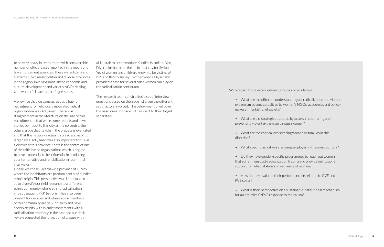to be very heavy in recruitment with considerable number of official cases reported in the media and law enforcement agencies. These were Adana and Gaziantep, two metropolitan and diverse provinces in the region, involving imbalanced economic and cultural development and various NGOs dealing with women's issues and refugee issues.

A province that we came across as a hub for recruitment for religiously motivated radical organizations was Adıyaman. There was disagreement in the literature on the size of this recruitment in that while some reports and news stories point out to this city as the epicentre, the others argue that its role in the process is overrated and that the networks actually spread across a lot larger area. Adıyaman was also important for us, as a district of this province Kahta is the centre of one of the faith-based organizations which is argued to have a potential to be influential in producing a counternarrative and rehabilitation in our initial interviews.

Finally, we chose Diyarbakır, a province of Turkey where the inhabitants are predominantly of Kurdish ethnic origin. This perspective was important so as to diversify our field research to a different ethnic community where ethnic radicalization and subsequent PKK terrorism has also been present for decades and where some members of this community are of Sunni faith and have shown affinity with Islamist movements with a radicalization tendency in the past and our desk review suggested the formation of groups within

al-Nusrah to accommodate Kurdish Islamists. Also, Diyarbakır has been the main host city for Syrian Yezidi women and children, known to be victims of ISIS and fled to Turkey. In other words, Diyarbakır provided a case for several roles women can play on the radicalization continuum.

The research team constructed a set of interview questions based on the issue list given the different set of actors involved. The below-mentioned cover the basic questionnaire with respect to their target separately.

With regard to collective interest groups and academics:

- What are the different understandings of radicalization and violent extremism as conceptualized by women's NGOs, academics and policymakers in Turkish civil society?
- What are the strategies adopted by actors in countering and preventing violent extremism through women?
- What are the root causes steering women or families in this direction?
- What specific narratives are being employed in these encounters?
- Do they have gender-specific programmes to reach out women that suffer from post-radicalization trauma and provide institutional support for rehabilitation and resilience of women?
- How do they evaluate their performance in relation to CVE and PVE so far?
- What is their perspective on a sustainable institutional mechanism for an optimize C/PVE response to radicalism?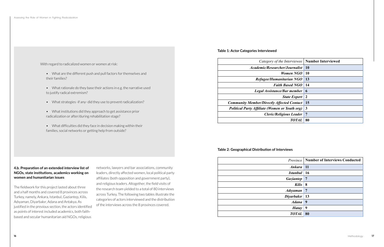#### **4.b. Preparation of an extended interview list of NGOs, state institutions, academics working on women and humanitarian issues**

The fieldwork for this project lasted about three and a half months and covered 8 provinces across Turkey, namely, Ankara, Istanbul, Gaziantep, Kilis, Adıyaman, Diyarbakır, Adana and Antakya. As justified in the previous section, the actors identified as points of interest included academics, both faithbased and secular humanitarian aid NGOs, religious

networks, lawyers and bar associations, community leaders, directly affected women, local political party affiliates (both opposition and government party), and religious leaders. Altogether, the field visits of the research team yielded to a total of 80 interviews across Turkey. The following two tables illustrate the categories of actors interviewed and the distribution of the interviews across the 8 provinces covered.

#### **Table 1: Actor Categories Interviewed**

| Category of the Interviewee   Number Interviewed  |                  |
|---------------------------------------------------|------------------|
| <i>Academic/Researcher/Journalist</i>             | 10               |
| Women NGO                                         | -10              |
| Refugee/Humanitarian NGO                          | <b>13</b>        |
| <b>Faith Based NGO</b>                            | -14              |
| Legal Assistance/Bar member                       | $\boldsymbol{6}$ |
| <b>State Expert</b>                               | <sup>2</sup>     |
| <b>Community Member/Directly Affected Contact</b> | 15               |
| Political Party Affiliate (Women or Youth org)    | $\mathbf{3}$     |
| <b>Cleric/Religious Leader</b>                    | -7               |
| TOTAL                                             | 80               |

#### **Table 2: Geographical Distribution of Interviews**

|                  | <b>Province   Number of Interviews Conducted</b> |
|------------------|--------------------------------------------------|
| $Ankara$ 11      |                                                  |
| Istanbul 16      |                                                  |
| <b>Gaziantep</b> | $\overline{7}$                                   |
| Kilis 8          |                                                  |
| <b>Adiyaman</b>  | $\overline{7}$                                   |
| Diyarbakır   13  |                                                  |
| Adana            | 9                                                |
| <b>Hatay</b>     | 9                                                |
| <b>TOTAL</b>     | 80                                               |
|                  |                                                  |

With regard to radicalized women or women at risk:

- What are the different push and pull factors for themselves and their families?
- What rationale do they base their actions in e.g. the narrative used to justify radical extremism?
- What strategies -if any- did they use to prevent radicalization?
- What institutions did they approach to get assistance prior radicalization or after/during rehabilitation stage?
- What difficulties did they face in decision making within their families, social networks or getting help from outside?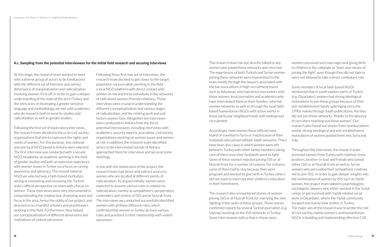At this stage, the research team wanted to meet with a diverse group of actors to be familiarized with the different set of interests and various dimensions of marginalization and radicalization involving women. First off, in order to gain a deeper understanding of the state of the art in Turkey and the intricacies of developing a gender sensitive language and methodology, we met with academics who do research both in security studies and radicalization as well as gender studies.

Following the first set of exploratory interviews, the research team decided to focus on civil society organizations that aim to represent the rights and needs of women. For this purpose, two national and one local NGO based in Ankara were selected. The first interview was conducted with a secular NGO, headed by an academic working in the field of gender studies and with an extensive experience with women issues in Turkey via a focus on raising awareness and advocacy. The second national NGO we selected was a faith-based institution, aiming at reinstating and conveying the Turkish state's official perspective on Islam with a focus on women. These interviews were very instrumental in comprehending the relative lack of existing work and focus in the area, hence the utility of our project, and directed us to a handful scholars and practitioners working in this field. Furthermore, they helped our conceptualization of different dimensions and realizations of violent extremism.

Following these first two set of interviews, the research team decided to get closer to the target population via journalists working in the field, a local NGO platform with direct contact with women at risk and three individuals in the networks of radicalized women (friends/relatives). These interviews were crucial in understanding the different conceptualization and various stages of radicalization, and the relating push and pull factors women face. Altogether ten interviews were conducted in Ankara from the list of potential interviewees, including interviews with academics, security experts, journalists, civil society organizations working on women issues and women at risk. In addition, the research team identified actors to be interviewed outside of Ankara, approached them for interviews and secured some meetings.

In line with the stated aims of the project, the research team had direct and indirect access to women who are located at different points of radicalization. As argued initially, women were expected to assume various roles in relation to radicalization, namely as sympathizers, perpetrators, contenders and victims of ISIS and al-Nusrah front. The interviews we conducted successfully identified women with all these different roles, which confirmed that women in Turkey do have various roles and positions in their relationship with violent extremism.

The research team has not directly talked to any women who joined these networks and returned. The experiences of both Turkish and Syrian women joining these networks were transmitted to the team mostly through the lawyers associated with the bar associations in high recruitment towns such as Adıyaman, who had direct encounters with these women; local journalists and academics who have interviewed them or their families; informal women networks as well as through the local faithbased humanitarian NGOs with active works in those particular neighbourhoods with widespread recruitment.

Accordingly, most women these officials have heard of travelled to Syria or Iraq because of their husbands who joined militant Salafi networks. There have been also cases in which women were left behind in Turkey with other family members taking care of them once their husbands went to fight. Some of these women rejected joining ISIS or al-Nusrah front for a number of reasons. For instance, some of them had to stay because they were pregnant and wanted to give birth in Turkey, others did not want to interrupt their children's education in their hometowns.

women conceived such marriages and giving birth to children in the caliphate as "their own means of joining the fight", even though they did not take or were not allowed to take a direct combatant role.

Some members of local faith-based NGOs mentioned that in south eastern parts of Turkey (e.g. Diyarbakır), women had strong ideological motivations to join these groups because of their anti-establishment family upbringing since the 1990s mainly through Salafi publications. Yet they did not join these networks "thanks to the absence of recruiters reaching out these women." Our research also found out stories from Istanbul where similar strong ideological and anti-establishment motivations of women pushed them into Syria and Iraq.

The research also encountered stories of women joining ISIS or al-Nusrah front for marrying the men fighting in the ranks of these groups. These stories confirmed reports by several Turkish journalists (e.g. Saymaz) working on the ISIS networks in Turkey. Some interviewees told us that in these cases Throughout the interviews, the research team accessed women from Turkey with relatives (sons, brothers, brother-in-law) and friends who joined either ISIS or al-Nusrah front as well as Syrian women who persuaded their sympathizer relatives not to join ISIS. In order to gain deeper insights into the victimization of women by ISIS such as Yazidi women, the project team talked to psychologists, sociologists, lawyers who either worked in the Yazidi camps or got involved with Yazidi-related social work in Diyarbakir, where the Yazidi community escaped and mainly took shelter in Turkey. The major aim of the research was to probe the role of civil society, mainly women's and humanitarian NGOs in building and implementing effective CVE

#### **4.c. Sampling from the potential interviewees for the initial field research and securing interviews**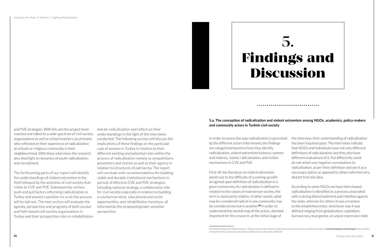# 5. **Findings and Discussion**

In order to assess the way radicalization is perceived by the different actors interviewed, the findings are categorized based on how they identify radicalization, violent extremism/violence, women and violence, Islamic radicalization, and civilian mechanisms in CVE and PVE.

First off, the literature on violent extremism points out to the difficulty of a coming up with an agreed upon definition of radicalization in a given community. As radicalization is defined in relation to the values of mainstream society, the term is necessarily relative. In other words, what may be considered radical in one community may be considered normal in another.**50** In order to understand the mental map of the actors, deemed important for this research, at the initial stage of

the interview, their understanding of radicalization has been inquired upon. The interviews indicate that NGOs and individuals have not only different definitions of radicalization, but they also have different evaluations of it. Put differently, some do not attach any negative connotations to radicalization, as per their definition and see it as a necessary option as opposed to others who feel very distant from the idea.

According to some NGOs we have interviewed, radicalization is identified as a process associated with a strong disenchantment and rebellion against the state, whereas for others it was a reaction to the established order, whichever way it was defined ranging from globalization, capitalism, bureaucracy, bourgeoise, an unjust repressive state

Assessing the Role of Women in Fighting Radicalization



and PVE strategies. With this aim the project team reached and talked to a wide spectrum of civil society organizations as well as school teachers, local Imams who reflected on their experience of radicalization at schools or religious community in their neighbourhood. With these interviews the research also shed light on dynamics of youth radicalization and recruitment.

The forthcoming parts of our report will identify the understandings of violent extremism in the field followed by the activities of civil society that relate to CVE and PVE. Subsequently, various push and pull factors informing radicalization in Turkey and women's position vis-à-vis this process will be laid out. The next section will evaluate the agenda, perspective and programs of both secular and faith-based civil society organizations in Turkey and their prospective roles in rehabilitation

and de-radicalization and reflect on their understandings in the light of the interviews conducted. The following section will discuss the implications of these findings on the particular case of women in Turkey in relation to their different existing and potential roles within the process of radicalization namely as sympathizers, preventers and victims as well as their agency in relation to structures of patriarchy. The report will conclude with recommendations for building viable and durable institutional mechanisms in pursuit of effective CVE and PVE strategies, including national strategy, a collaborative role for civil society especially in relation to building a counternarrative, educational and social opportunities, and rehabilitative functions, all informed by the proposed gender sensitive perspective.

#### **5.a. The conception of radicalization and violent extremism among NGOs, academics, policy-makers and community actors in Turkish civil society**

<sup>50</sup> Aoife McCullough and Mareike Schomerus, "What do we know about drivers of radicalisation and violent extremism, globally and in Niger?", *Overseas Development Institute Report*, February 2017, retrieved from <https://www.odi.org/sites/odi.org.uk/files/resource-documents/11405.pdf>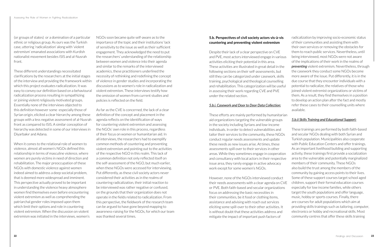(or groups of states) or a domination of a particular ethnic or religious group. As ours was the Turkish case, uttering 'radicalization' along with 'violent extremism' emanated associations with Kurdish nationalist movement besides ISIS and al-Nusrah front.

These different understandings necessitated clarifications by the researchers at the initial stages of the interview and providing the framework within which this project evaluates radicalization. It was easy to convey our definition based on a behavioural radicalization process resulting in sympathizing or joining violent religiously motivated groups. Essentially none of the interviews objected to this definition however some -especially those of Syrian origin, elicited a clear hierarchy among these groups with a less negative assessment of al-Nusrah front as compared to ISIS. A similar conception of hierarchy was detected in some of our interviews in Diyarbakır and Adana.

When it comes to the relational role of women to violence, almost all women's NGOs defined this relationship in terms of masculine violence, where women are purely victims in need of direction and rehabilitation. The major preoccupation of these NGOs with domestic violence against women indeed aimed to address a deep societal problem, that is deemed more widespread and imminent. This perspective actually proved to be important in understanding the violence heavy atmosphere women find themselves even before encountering violent extremism as well as comprehending the patriarchal gender roles imposed upon them which limit their options and role in countering violent extremism. When the discussion on violent extremism was initiated in the interviews, women's

NGOs soon became quite self-aware as to the importance of the topic and their institutions' lack of sensitivity to the issue as well as their sufficient engagement. They acknowledged the need to put the researchers' understanding of the relationship between women and violence into their agenda and similar to the remarks of the interviewed academics, these practitioners underlined the necessity of rethinking and redefining the concept of violence in gender studies and incorporating the discussions as to women's role in radicalization and violent extremism. These interviews testify how the omission of women from current studies and policies is reflected on the field.

As far as the CVE is concerned, the lack of a clear definition of the concept and placement in the agenda reflects on the identification of ways for countering violent extremism and assessing the NGOs' own role in this process, regardless of their focus on women or humanitarian aid. In all interviews, the researchers had to exemplify common methods of countering and preventing violent extremism and pointing out to the activities of the respective NGO in this realm. This lack of a common definition not only reflected itself on the self-assessment of the NGO, but much earlier, when these NGOs were accessed for interviewing. Put differently, as these civil society actors never considered their activities as in the realms of countering radicalization, their initial reaction to be interviewed was rather negative or confused, on the grounds that their organization does not operate in the fields related to radicalization. From this perspective, the fieldwork of the research team can be argued to have gone beyond mapping to awareness-raising for the NGOs, for which our team was thanked several times.

#### **5.b. Perspectives of civil society actors vis-à-vis countering and preventing violent extremism**

Despite their lack of a clear perspective on CVE and PVE, most actors interviewed engage in various activities eliciting their potential in this area. These activities are illustrated in great detail in the following sections on their self-assessments, but still they can be categorized under casework, skills training, psychological and theological counselling and rehabilitation. This categorization will be useful in assessing their work regarding CVE and PVE under the related section.

#### *5.b.i. Casework and Door to Door Data Collection:*

These efforts are mainly performed by humanitarian aid organizations targeting the vulnerable groups in the society including Syrians and low-income individuals. In order to detect vulnerabilities and tailor their services to the community, these NGOs conduct regular needs assessments and update these needs as new issues arise. At times, these assessments spill over to their services in other areas. While they sometimes engage in cooperation and consultancy with local actors in their respective issue area, they rarely engage in active advocacy work except for some women's NGOs.

However, none of the NGOs interviewed conduct their needs assessments with a clear agenda on CVE or PVE. Both faith-based and secular organizations focus on addressing the basic necessities in their communities, be it food or clothing items, assistance and advising with reach out services eliciting some spill-over to their other activities. It is without doubt that these activities address and mitigate the impact of important push factors of

radicalization by improving socio-economic status of their communities and assisting them with their own services or removing the obstacles for them to reach public services. Nevertheless, until being interviewed, most NGOs were not aware of the implications of their work in the realms of *preventing* violent extremism. Nevertheless, through the casework they conduct some NGOs become more aware of the issue. Put differently, it is in the due course that they encounter individuals with a potential to radicalize, the relatives of those who joined violent extremist organizations or victims of them. As a result, they find themselves in a position to develop an action plan after the fact and mostly refer these cases to their counselling units where available.

#### *5.b.ii Skills Training and Educational Support:*

These trainings are performed by both faith-based and secular NGOs dealing with both Syrian and Turkish population. Municipalities also cooperate with Public Education Centers and offer trainings. As an important livelihood building and supporting activity, these trainings first provide a socialization area to the vulnerable and potentially marginalized members of their community. These NGOs also build the trust among the members of the community by gaining access points to their lives. Some of these support courses target school aged children, support their formal education courses especially for low income families, while others target the youth populations and offer language, music, hobby or sports courses. Finally, there are courses for adult populations which aim at providing skills trainings such as tailoring, computer, electronics or hobby and recreational skills. Most community centres that offer these skills training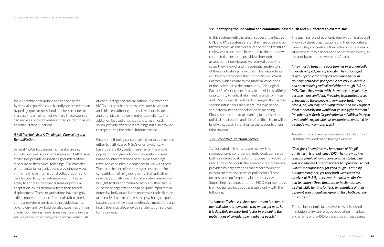for vulnerable populations and especially for Syrians, also provide child friendly spaces overseen by pedagogues or preschool teachers in order to increase the enrolment of women. These courses can serve as both preventers of radicalization as well as rehabilitative functions.

#### *5.b.iii Psychological & Theological Counseling and Rehabilitation:*

Several NGOs focusing on humanitarian aid, addiction as well as women's issues and faith-based structures provide counselling grounded either in secular or theological teachings. The majority of humanitarian organizations providing services in this field have international collaborations and mainly cater to Syrian refugee communities as a way to address their war trauma or post war adaptation issues stemming from their forced displacement. These organizations have a highly skilled non-volunteer professional staff trained in the area where services are provided such as psychology and law, hold detailed case files of their clients both during needs assessments and during service provision and may come across individuals

at various stages of radicalizations. The women's NGOs on the other hand mainly cater to women and children suffering domestic violence issues and prioritize empowerment of their clients. The addiction focused organizations target mostly youth, provide awareness trainings but also provide therapy during the rehabilitation process.

Finally, the theological counselling services provided either by faith-based NGOs or on a voluntary basis by state (Diyanet) imams target the entire population and give advice on a variety of issues based on interpretations of religious teachings, texts, and centuries-old practices in line with those. These can be perceived as easy access points for sympathizers of religiously motivated radicalism in case they actually search for alternative answers or brought to these community actors by their family. All of these organizations can be quite important in detecting individuals in the process of radicalization at an early phase or address the psychological push factors before they become effective motivators and finally they may also provide rehabilitation services for returnees.

#### *5.c.i. Economic/ Structural Factors:*

In this section, with the aim of suggesting effective CVE and PVE strategies later, the main push and pull factors as well as enablers outlined in the literature review will be explored in relation to the interviews conducted. In order to provide a thorough assessment, interviewees were asked about the cases they know of and the potential motivators of these radicalizing individuals. The respondents will be explored under the "Economic/Structural Factors" which relate to the material conditions of the individual or the community, "Ideological Factors" referring specifically to individuals' affinity or proximity to radical Islam and its underpinnings, and "Psychological Factors" focusing on the psychespecific influencers such as trauma experience, self-esteem, need for distinction or meaning. Finally, some contextual enabling factors such as political polarization and rise of political Islam will be briefly discussed in relation to the accounts of our interviewees. The pushing role of economic deprivation is also well known by these organizations and their recruiters. Hence, they concentrate their efforts in the areas of cities where they can reap the benefits of poverty, as also put by an interviewee from Adana: *"They mostly target the poor families in economically underdeveloped parts of the city. They also target religious people that they can convince easily. In my neighbourhood, poor people are very vulnerable and open to being radicalized either through ISIS or PKK. Once they are in, with the money they get, they become more confident. Providing legitimate sources of income to these people is very important. If you have a job, you may be a sympathizer and may support them monetarily but would not go and fight for them." (Member of a Youth Organization of a Political Party in a vulnerable region who has encountered and tried to dissuade many sympathizers)*

*"In some coffeehouses where recruitment is active, all men talk about is how much they would get paid. So it is definitely an important factor in explaining the motivations of considerable number of people."* 

As illustrated in the literature review, the socioeconomic conditions of individuals can serve both as a direct push factor or expose individuals to radical ideas. Secondly, the economic opportunities provided by organizations that resort to violent extremism may also serve as pull factors. These factors came up frequently in our interviews. Supporting this expectation, an NGO representative from Gaziantep lays out the issue bluntly with the following: "*Two girls I know from my hometown of Bingöl but living in Istanbul joined ISIS. They grew up in a religious family of low socio-economic status. One was not educated, the other went to a preacher school -where she supposedly got good religious training but apparently not, yet they both were recruited as wives of ISIS fighters over the social media. One had to remarry three times as her husbands have all died while fighting for ISIS. So regardless of their different educational background, they both became radicalized.* "

Another interviewee, a coordinator of an NGO in Istanbul provided the following example:

The socioeconomic factors were also discussed in relation to Syrian refugee population in Turkey and efforts of pro-ISIS organizations in assuaging

#### **5.c. Identifying the individual and community-based push and pull factors to extremism:**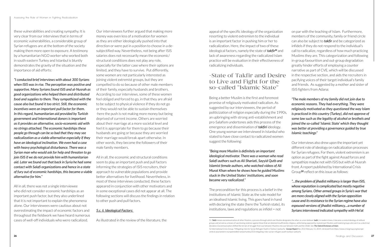these vulnerabilities and creating sympathy. It is very clear from our interviews that in terms of economic vulnerabilities, a considerable group of Syrian refugees are at the bottom of the society making them more open to exposure. A testimony by a humanitarian NGO worker who worked both in south eastern Turkey and Istanbul is bluntly demonstrates the gravity of the situation and the importance of aid efforts:

*"I conducted brief interviews with about 300 Syrians when ISIS was in rise. The perception was positive and supportive. Many Syrians found ISIS and al-Nusrah as good organizations who helped them and distributed food and supplies to them. They sympathized with the cause also but found it too strict. Still, the economic incentives were an important pull factor for them. In this regard, humanitarian aid provided by Turkish government and International donors is important as it provides an alternative, socio-economic aid with no strings attached. The economic hardships these people go through can be so bad that they may see radicalization as a viable alternative especially if they have an ideological inclination. We even had a case with heavy psychological disturbance. There was a Syrian man who would ask for help and threaten to go join ISIS if we do not provide him with humanitarian aid. Later we found out that back in Syria he had some contact with Salafi organizations and hence in a state of fury out of economic hardships, this became a viable alternative for him."* 

All in all, there was not a single interviewee who did not consider economic hardships as an important push factor, but they also underlined that it is not important to explain the phenomena alone. Our interviewees were cautious about not overestimating the impact of economic factors and throughout the fieldwork we have heard numerous cases of well-off individuals who were radicalized.

Our interviewees further argued that making more money was even less of a motivation for women as they are either ideologically pushed into that direction or were put in a position to choose in a desubjectified way. Nevertheless, not being after ISIS salaries does not necessarily mean the economic/ structural conditions does not play any role, especially for the latter case where their options are limited, and they have to survive. Put differently, some women are not particularly interested as joining violent extremist groups, but they are compelled to do so because of other male members of their family, especially husbands and brothers. According to our interviews, some of these women feel obliged and forced to go, in that they are afraid to be subject to physical violence if they do not go or they would not be able to sustain themselves -here the push is not making more money but being deprived of current income. Others are worried about their marriage at a more societal level and feel it is appropriate for them to go because their husbands are going or because they are worried their marriage would break apart otherwise. In other words, they become the followers of their male family members.

All in all, the economic and structural conditions seem to play an important push and pull factors informing the strategies of ISIS recruiters, their approach to vulnerable populations and provide better alternatives for livelihood. Nevertheless, in most of these interviews conducted, these factors appeared in conjunction with other motivators and in some exceptional cases did not appear at all. The following sections will discuss the findings in relation to other push and pull factors.

#### *5.c. ii. Ideological Factors:*

As illustrated in the review of the literature, the

appeal of the specific ideology of the organization resorting to violent extremism to the individual is an important factor in pushing him or her to radicalization. Here, the impact of two of these ideological factors, namely the state of *takfir***<sup>51</sup>** and lack of awareness regarding the radicalized Islam practice will be evaluation in their effectiveness of radicalizing individuals.

#### -State of Takfir and Desire to Live and Fight for the so-called "Islamic State"

Being a better Muslim is the first and foremost promise of religiously motivated radicalism. As suggested by our interviewees, the period of politicization of religion especially during the 1990s, an upbringing with strong anti-establishment and pro-Salafism undertones aids this process of the emergence and dissemination of *takfiri* ideology. One young woman we interviewed in Istanbul who stated to have close contact to radicalized women suggest the following:

*"Being more Muslim is definitely an important ideological motivator. There was a woman who read Salafi authors such as Ali Shariati, Sayyid Qutb and Islamist female authors, who watched videos of Ali Murat Khan where he shows how he guided Muslims stuck in the United States' institutions, and soon became very radicalized."* 

The precondition for this process is a belief in the institutions of Islamic State as the sole model for an idealised Islamic living. This goes hand in hand with declaring the state (here the Turkish state), its institutions, laws and regulations as infidel = not

on par with the teaching of Islam. Furthermore, members of the community, family or friend circle can also be subject to *takfir* and be categorized as infidels if they do not respond to the individual's call to radicalize, regardless of how much practicing Muslims they are. This categorization and following in-group favouritism and out-group degradation greatly hinder efforts of employing a counter narrative as part of CVE, which will be discussed in the respective section, and aids the recruiters in pacifying voices of their target individual's family and friends. As suggested by a mother and sister of ISIS fighters from Adana:

*"The male members of my family did not join due to economic reasons. They had everything. They were religiously motivated as they questioned the way Islam is practiced in this country (Turkey), did not approve of some law such as the legality of alcohol or brothels and joined the so-called 'Islamic State' which they thought was better at providing a governance guided by true Islamic teachings"* 

Our interviews also drew upon the important yet different role of ideology on radicalization processes for Syrian refugees. For them, violent extremism is an option as part of the fight against Assad forces and sympathize maybe not with ISIS but with al-Nusrah front. A report published by International Crisis Group**52** reflect on this issue as follows:

*"…the problem of jihadist militancy is larger than ISIS, whose reputation is complicated but mostly negative among Syrians. Other armed groups in Syria's war that are more closely aligned with the Syrian opposition cause and its resistance to the Syrian regime have also espoused versions of jihadist militancy....a number of Syrians interviewed indicated sympathy with Hei'at* 

<sup>51</sup> *Takfir* means excommunication of other Muslims, a process through which one Muslim designates the other as a non-believer (*kafir*). In modern times, it became a central ideology of militant groups and served as a means of sanctioning violence against those that are deemed insufficiently religious, whilst being opposed by mainstream Muslims and Islamist groups who see it as a doctrinal deviation. Excommunication shifted the terrain of struggle from war between Muslims into war between faith and the infidel. See *The Oxford Dictionary of Islam*. 52 International Crisis Group. "Mitigating risks for Syrian Refugee Youth in Turkey's Şanlıurfa," *Europe Report* No: 253, February 11, 2019, retrieved from [https://www.crisisgroup.org/europe](https://www.crisisgroup.org/europe-central-asia/western-europemediterranean/turkey/253-mitigating-risks-syrian-refugee-youth-turkeys-sanliurfa)[central-asia/western-europemediterranean/turkey/253-mitigating-risks-syrian-refugee-youth-turkeys-sanliurfa](https://www.crisisgroup.org/europe-central-asia/western-europemediterranean/turkey/253-mitigating-risks-syrian-refugee-youth-turkeys-sanliurfa)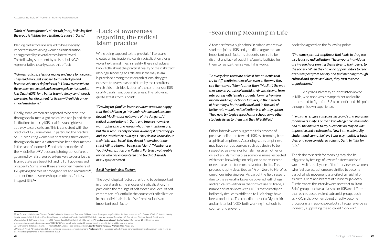*Tahrir al-Sham (formerly al-Nusrah front), believing that the group is fighting for a legitimate cause in Syria."*

Ideological factors are argued to be especially important in explaining women's radicalization as suggested by several actors interviewed. The following statement by an Istanbul NGO representative clearly states this effect:

*"Women radicalize less for money and more for ideology. They read more, get exposed to this ideology and became vehement defenders of it. I know a case where the women persuaded and encouraged her husband to join Daesh (ISIS) for a better Islamic life by continuously expressing her discontent for living with infidels under infidel institutions."*

Finally, some women are reported to be recruited through social media, got radicalized and joined these institutions to marry ISIS or al-Nusrah fighters to as a way to service Islam. This is consistent with the practice of ISIS elsewhere. In particular, the practice of ISIS recruiting women via contacting them directly through social media platforms has been documented in the case of Indonesia**53** and other countries of the Middle East.**54** Videos and photographs of areas governed by ISIS are used extensively to describe the Islamic State as a beautiful land full of happiness and prosperity. Sometimes these are women members of ISIS playing the role of propagandists and recruiters**55**, at other times it is men who promote this fantasy image of ISIS.**<sup>56</sup>**

#### -Lack of awareness regarding the radical Islam practice

While being exposed to the pro-Salafi literature creates an inclination towards radicalization along violent extremist lines, in reality, these individuals know little about the practical reality of their abstract ideology. Knowing so little about the way Islam is practiced among these organizations, they get exposed to a very biased picture by the recruiters which aids their idealization of the conditions of ISIS or al-Nusrah front operated areas. The following quote attests to this point:

*"Growing up, families in conservative areas are happy that their children go to Islamic scholars and become devout Muslims but not aware of the dangers. All radical organizations in Syria and Iraq are now after war trophies, no one knows what their intentions are, but these recruits only become aware of it after they go and see it with their own eyes. They do not know about their links with Israel, they do not know about how sinful killing a human being is in Islam." (Member of a Youth Organization of a Political Party in a vulnerable region who has encountered and tried to dissuade many sympathizers)*

#### *5.c.iii Psychological Factors*

The psychological factors are found to be important in understanding the process of radicalization. In particular, the feelings of self-worth and level of selfesteem are influential in the course of radicalization in that individuals' lack of self-realization is an important push factor.

### -Searching Meaning in Life

A teacher from a high school in Adana where two students joined ISIS and got killed argue that an important push factor is students' desire to be distinct and lack of social life/sports facilities for them to realize themselves. In his words:

*"In every class there are at least two students that try to differentiate themselves even in the way they call themselves "Islam" rather than "Muslim", the way they pray in our school masjid, their withdrawal from interacting with female students. Coming from low income and dysfunctional families, in their search of becoming a better individual and in the lack of better role models radicalization is their only option. They now try to give speeches at school, some other students listen to them and they fill fulfilled."* 

Other interviewees suggested this process of positive inclination towards ISIS as stemming from a spiritual emptiness. Accordingly, this emptiness may have various sources such as a desire to be respected as a warrior for Islam or as a mother or wife of an Islamic hero, as someone more respected with more knowledge on religion or more income or even a search for more adventure in life. This process is aptly described as "From Zero to Hero" as one of our interviewees. As part of the field research due to the several linkages discovered with drugs and radicalism -either in the form of use or trade, a number of interviews with NGOs that directly or indirectly deal with addiction to illicit drugs have been conducted. The coordinators of a Diyarbakir and an Istanbul NGO, both working in schools to counter and prevent

#### addiction agreed on the following point:

"*The same spiritual emptiness that leads to drug use, also leads to radicalization. These young individuals are in search for proving themselves to their peers, to the society. When they have no opportunities to reach at this respect from society and find meaning through cultural and sports activities, they turn to these organizations.*"

A Syrian university student interviewed in Kilis, who once was a sympathizer and quite determined to fight for ISIS also confirmed this point through his own experience.

 "*I was at a refugee camp, lost in crowds and searching for answers in life. For me a knowledgeable imam who had all the answers to my questions on religion was impressive and a role model. Now I am a university student and cannot believe I was a sympathizer back then and even considered going to Syria to fight for ISIS."* 

The desire to search for meaning may also be triggered by feelings of low self-esteem and selfworth. As it is put by one of the interviewees, women who feel useless at home are thrilled to become part of a holy movement as a wife of a mujahid or as birth-givers and bearers of future mujahideen. Furthermore, the interviewees note that militant Salafi groups such as al-Nusrah or ISIS are different than ethnic based violent extremist groups such as PKK, in that women do not directly become protagonists in public space but still acquire value as indirectly supporting the so-called "holy war".

<sup>53</sup> See Tia Mariatul Kibtiah and Christina Tirajoh, "Indonesian Women and Terrorism: ISIS Recruitment Strategy through Social Media". Paper presented at Conference: ICOBIRD Binus University, Jakarta, Indonesia, 2019. Retrieved from [https://www.researchgate.net/publication/330169343\\_Indonesian\\_Women\\_and\\_Terrorism\\_ISIS\\_Recruitment\\_Strategy\\_through\\_Social\\_Media](https://www.researchgate.net/publication/330169343_Indonesian_Women_and_Terrorism_ISIS_Recruitment_Strategy_through_Social_Media) 54 Antonia Ward, "ISIS's Use of Social Media Still Poses a Threat to Stability in the Middle East and Africa". *Georgetown Security Studies Review*. 10 December 2018. Retrieved from: <http://georgetownsecuritystudiesreview.org/2018/12/10/isiss-use-of-social-media-still-poses-a-threat-to-stability-in-the-middle-east-and-africa/> 55 Nur Irfani and Binte Saripi, "Female Members of ISIS: A Greater Need for Rehabilitation". *Counter Terrorist Trends and Analyses*, 2015, 7:3, 26-31.

<sup>56</sup> Wendy A. Prajuli, **"**On social media, ISIS uses fantastical propaganda to recruit members", *The Conversation*. 4 December 2017. Retrieved from [http://theconversation.com/on-social-media-isis](http://theconversation.com/on-social-media-isis-uses-fantastical-propaganda-to-recruit-members-86626)[uses-fantastical-propaganda-to-recruit-members-86626](http://theconversation.com/on-social-media-isis-uses-fantastical-propaganda-to-recruit-members-86626)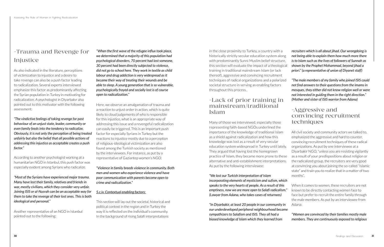As also indicated in the literature, perceptions of victimization to injustice and a desire to take revenge can also be a push factor leading to radicalization. Several experts interviewed emphasize this factor as predominantly affecting the Syrian population in Turkey in motivating for radicalization. A psychologist in Diyarbakır also pointed out to this motivator with the following assessment:

*"The vindictive feelings of taking revenge for past behaviour of an unjust state, leader, community or even family feeds into the tendency to radicalize. Obviously, it is not only the perception of being treated unfairly but also the belief that all possible actions of addressing this injustice as acceptable creates a push factor."*

According to another psychologist working at a humanitarian NGO in Istanbul, this push factor was especially evident among Syrians who radicalize.

*"Most of the Syrians have experienced major trauma. Many have lost their family, relatives and friends in war, mostly civilians, which they consider very unfair. Joining ISIS or al-Nusrah can be an acceptable way for them to take the revenge of their lost ones. This is both ideological and personal."*

Another representative of an NGO in Istanbul pointed out to the following:

*''When the first wave of the refugee influx took place, we determined that a majority of this population had psychological disorders, 70 percent had lost someone, 30 percent had been directly subjected to violence, did not go to school here. They work in textile as child labour and drug addiction is very widespread as it became their way of treating their wounds and be able to sleep. A young generation that is so vulnerable, psychologically frayed and socially lost is of course open to radicalization."*

Here, we observe an amalgamation of trauma and a reaction to unjust order in action, which is quite likely to cloud judgements of who is responsible for this injustice, what is an appropriate way of addressing this issue and a revengeful radicalization can easily be triggered. This is an important push factor for especially Syrians in Turkey but the reactions to injustice mostly due to a perception of religious-ideological victimization are also found among the Turkish society as mentioned by the interviewees. For instance, as put by a representative of Gaziantep women's NGO:

*"Violence in family breeds violence in community. Both men and women who experience violence and have poor communication with parents become open to crime and radicalization."*

#### *5.c.iv. Contextual enabling factors:*

This section will lay out the societal, historical and political context in the region and in Turkey the way it is reflected on the individual's community. In the background of rising Salafi interpretations

#### -Lack of prior training in mainstream/traditional Islam

Many of those we interviewed, especially those representing faith-based NGOs underlined the importance of the knowledge of traditional Islam as a shield against radicalization and how this knowledge was lost as a result of very secular education system widespread in Turkey until lately. They argued that having lost the homegrown practice of Islam, they became more prone to these alternative and anti-establishment interpretations. As put by the following interviewee:

in the close proximity to Turkey, a country with a historically strictly secular education system along with predominantly Sunni Muslim belief structure, this section will evaluate the impact of a theological training in traditional mainstream Islam (or lack thereof), aggressive and convincing recruitment techniques of radical organizations and a polarized societal structure in serving as enabling factors throughout this process. *recruiters which is all about jihad. Our wrongdoing is not being able to explain them how much more there is to Islam such as the lives of followers of Sunnah as shown by the Prophet Mohammad, beyond jihad a priori." (a representative of union of Diyanet staff) "The male members of my family who joined ISIS could not find answers to their questions from the imams in mosques, they either did not know religion well or were not interested in guiding them in the right direction." (Mother and sister of ISIS warrior from Adana)*

*"We lost our Turkish interpretation of Islam incorporating elements of mysticism and sufism, which speaks to the very hearts of people. As a result of this emptiness, now we are more open to Salafi radicalism." (Lawyer from Adana, who takes cases of returnees)*

*"In Diyarbakir, at least 20 people in our community in our underdeveloped peripheral neighbourhood became sympathizers to Salafism and ISIS. They all had a biased knowledge of Islam which they learned from* 

#### -Aggressive and convincing recruitment techniques

All civil society and community actors we talked to, emphasized the aggressive and hard to counter, convincing recruitment techniques of these radical organizations. As put by one interviewee at a Diyarbakir NGO, "unless you are resisting vigilantly as a result of your predispositions about religion or the radicalized group, the recruiters are very good at convincing you about joining the so-called "Islamic state" and train you to realize that in a matter of two months".

When it comes to women, these recruiters are not known to be directly contacting women face to face but prefer to recruit the entire family through the male members. As put by an interviewee from Adana:

#### *"Women are convinced by their families mostly male members. They are continuously exposed to religious*

## -Trauma and Revenge for **Injustice**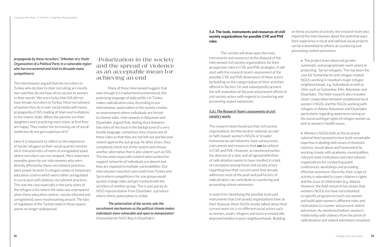*propaganda by these recruiters." (Member of a Youth Organization of a Political Party in a vulnerable region who has encountered and tried to dissuade many sympathizers)*

The interviewees argued that the recruiters in Turkey who do door to door recruiting are mostly men and they do not have direct access to women. In their words "We were lucky that ISIS did not have female recruiters in Turkey. Most recruitment of women they do is over social media with heavy propaganda of ISIS reading of Islam and invitations to the Islamic State. When the parents see their daughters start practicing more Islam, at first they are happy. They realize the increasing use of social media but do not get suspicious of it."

Here it is important to reflect on the experience of Syrian refugees as their social quarters tend to elicit characteristics of more of unregulated space where recruiters can run rampant. Here important examples given by our interviewees who were directly affected by these recruitment practices were prayer brooms in refugee camps or temporary education centres which were rather unregulated in curriculum with dubious recruitment practices. This was the case especially in the early years of the refugee crisis where the state was unprepared when these education centres -mostly informal and unregistered, were mushrooming around. The lack of regulation of the Turkish state in these spaces seems no longer widespread.

#### -Polarization in the society and the spread of violence as an acceptable mean for achieving an end

Many of those interviewed suggest that even though it is inadvertent/unintentional, the polarizing language of daily politics in Turkey makes radicalization easy. According to our interviewees, polarization in the society creates an environment where individuals are forced to choose sides. Interviewees in Adıyaman and Diyarbakır argued that, feeling stuck between two sides of the issue in the background of a very hostile language, sometimes they choose one of these sides so that they are not left out and become violent against the out-group. At other times, they completely check out of the system and choose another alternative that is also violent such as ISIS. This becomes especially evident when protective support networks of individuals are absent and they are exposed to multiple vulnerabilities. Our interviewees reported cases both from Turkey and Syria where sympathizers for one group would quickly change sides and get involved with the activities of another group. This is also put by an NGO representative from Diyarbakır, a province where ethnic polarization is visible.

• The project team observed greater systematic and programmatic work aimed at protecting Syrian refugees. This has been the case for humanitarian and refugee-related NGOs working in Istanbul's major refugee neighbourhoods, e.g. Sultanbeyli as well as cities such as Gaziantep, Kilis, Adıyaman and Diyarbakır. The field research also revealed closer cooperation between established local women's NGOs and the NGOs working with refugees in Adana, Adıyaman and Diyarbakır particularly regarding awareness raising on the social and legal rights of refugee women as well as women's health issues.

'*The polarization of the society aids the recruitment mechanisms as the political climate makes individuals more vulnerable and open to manipulation'*  (Humanitarian NGO Rep in Diyarbakır)

#### **5.d. The tools, instruments and resources of civil society organizations for possible CVE and PVE roles**

This section will draw upon the tools, instruments and resources at the disposal of the interviewed civil society organizations for their prospective roles in CVE and PVE strategies. It will start with the research team's assessment of the possible CVE and PVE dimensions of these actors by building on the categorization of their activities offered in Section 5.b. and subsequently present the self-evaluation of the past and present efforts of civil society actors with regards to countering and preventing violent extremism.

#### *5.d.i. The Research Team's assessments of civil society's works*

The research team found out that civil society organizations, be they local or national, secular or faith-based, women's NGOs or broader humanitarian aid networks, have various tools, instruments and resources that *can* be utilized in CVE and PVE. However, as mentioned earlier, the absence of a clear and all-agreed definition of radicalization seems to have resulted in a lack of conception among these civil society actors regarding how their current work that already addresses most of the push and pull factors of radicalization can contribute to countering and preventing violent extremism.

In search for identifying the possible tools and instruments that civil society organizations have at their disposal, these NGOs mostly talked about their current work vis-à-vis different social actors such as women, youth, refugees and socio-economically deprived families in poor neighbourhoods. Building

on these accounts of activity, the research team also inquired the interviewees about the potential ways their experience in local and national social projects can be transmitted to efforts at countering and preventing violent extremism.

> • Women's NGOs both at the local and national level seemed to have built remarkable expertise in dealing with issues of domestic violence, sexual abuse and harassment by working closely with academia, municipalities, relevant state institutions and international organizations for conducting public conferences, workshops and providing effective assistance. Recently, their scope of activity is extended to cover children's rights and the issue of child brides (e.g. Adana). However, the field research has shown that women's NGOs too have not embarked on specific programs to reach out women and build upon women's different roles and motivations to counter and prevent violent extremism. As mentioned before, women's relationship with violence from the prism of radicalization and violent extremism remained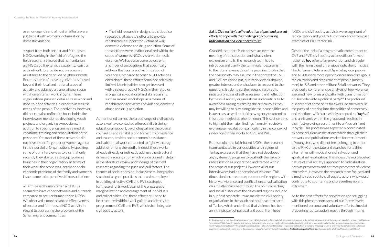as a non-agenda and almost all efforts were put to deal with women's victimization by domestic violence.

• Apart from both secular and faith-based NGOs working in the field of refugees, the field research revealed that humanitarian aid NGOs built extensive capability, logistics and network to provide socio-economic assistance to the deprived neighbourhoods. Recently some of these organizations moved beyond their local and national scope of activity and attained a transnational scope with humanitarian work in Syria. These organizations pursued detailed case-work and door-to-door activities in order to assess the needs of the people. Their activities, however, did not remain confined to households; the interviewees mentioned developing youth projects and organizing symposiums, in addition to specific programmes aimed at vocational training and rehabilitation of the prisoners. Yet, most of these networks did not have a specific gender or women agenda in their portfolio. Organizationally speaking, some of our interviewees told us that only recently they started setting up women's branches in their organization. In terms of their work, the scope was largely on socioeconomic problems of the family and women's issues came to be perceived from such a lens.

• Faith-based humanitarian aid NGOs seemed to have wider networks and outreach compared to secular humanitarian NGOs. We observed a more balanced effectiveness of secular and faith-based NGO activity in regard to addressing the problems of the Syrian migrant communities.

• The field research in designated cities also revealed civil society's efforts to provide rehabilitative support for victims of war, domestic violence and drug addiction. Some of these efforts were institutionalized within the scope of women's NGOs vis-à-vis domestic violence. We have also come across with a number of associations that specifically address the trauma and victimization of violence. Compared to other NGO activities cited above, these efforts remained relatively limited. Municipalities also got involved with a select group of NGOs in their studies in organizing vocational and skills training such as mosaic workshops as a means of rehabilitation for victims of violence, domestic abuse and drug addiction.

As mentioned earlier, the broad range of civil society actors we have contacted offered skills training, educational support, psychological and theological counseling and rehabilitation for victims of violence and trauma, besides socio-economic assistance and substantial work conducted to fight with drug addiction among the youth. Indeed, these works already directly or indirectly address the structural drivers of radicalization which are discussed in detail in the literature review and findings of the field research regarding the push and pull factors. The themes of social cohesion, inclusiveness, integration stand out as good practices that can be employed in building effective CVE and PVE strategies for these efforts work against the processes of marginalization and estrangement of individuals and collectivities. Yet, these efforts still need to be structured within a well-guided and clearly set programme of CVE and PVE, which shall integrate civil society actors.

#### *5.d.ii. Civil society's self-evaluation of past and present efforts to cope with the challenges of countering radicalization and violent extremism*

Granted that there is no consensus over the meaning of radicalization and what violent extremism entails, the research team had to introduce and clarify the term violent extremism to the interviewees. Once the prominent roles that the civil society may assume in the context of CVE and PVE are raised out, our interviewees showed greater interest and enthusiasm to respond to the questions. By doing so, the research aspired to initiate a process of self-assessment and reflection by the civil society organizations and contribute to awareness raising regarding the critical roles they may be willing to play alongside their capabilities and issue areas, as well as build new agency to attend to this rather neglected phenomenon. This section aims to highlight the major findings from civil society's evolving self-evaluation particularly in the context of relevance of their works to CVE and PVE. Despite the lack of a programmatic commitment to CVE and PVE, civil society actors still performed rather *ad hoc* efforts for prevention and struggle with the rising trend of religious radicalism. In cities like Adıyaman, Adana and Diyarbakır, local people and NGOs were more open to discussion of religious radicalization and recruitment of people (mostly men) to ISIS and other militant Salafi networks. They provided a comprehensive analysis of how violence assumed new forms and paths with transformation of Hezbollah into a political party.**57** The profound discontent of some of its followers led them accuse the party of entering into the politics of democracy and elections, which are widely accepted as "*taghut*" and un-Islamic within the group and resulted in their fast-growing recruitment to al-Nusrah front in Syria. This process was reportedly coordinated by some religious associations which through their network and publications worked for recruitment of youngsters who did not feel belonging to either to the PKK or the state and searched for a third alternative with motivations of salvation and spiritual self-realization. This shows the multifaceted nature of civil society's approach to radicalization both as preventers and at times promoters of violent extremism. However, the research team focused and aimed to reach out to civil society actors who would contribute to countering and preventing violent extremism.

NGOs and civil society activists were cognizant of radicalization and youth's turn to violence from past examples of PKK terrorism.

Both secular and faith-based NGOs, the research team contacted in various cities and regions of Turkey expressed that they have not developed any systematic program to deal with the issue of radicalization as understood and framed within the scope of our project. However, all of our interviewees had a conception of violence. This dimension became more pronounced in regions with history of violence and conflict; hence, radicalization was mostly conceived through the political setting and social histories of the cities and regions included in our field research. It was mainly the civil society organizations in the south and southeastern parts of Turkey, which underlined that violence has been an intrinsic part of political and social life. These As to the past efforts for prevention and struggling with this phenomenon, some of our interviewees mentioned personal and voluntary efforts aimed at preventing radicalization, mostly through finding

57 It is important to note that, the process being referred here is one of Turkish Hezbollah becoming Hüda-par, not of the political transformation of the Lebanese Hezbollah. Formed in southeastern

Turkey in the 1980s, Turkish Hezbollah is known for its brutal terrorist practices involving torturing individuals before killing them. As an ethnically Kurdish-composed group, targeting civilians, mainly Kurds who are allegedly PKK sympathizers in southeast Turkey, Turkish Hezbollah is responsible for hundreds of murders. The group sought to overthrow the constitutional and secular government and establish a strict Islamic theocracy. See Harvey W. Kushner, "Turkish Hezbollah", in *The Sage Encyclopedia of Terrorism*, Thousand Oaks, CA: SAGE Publications, 2003, 369.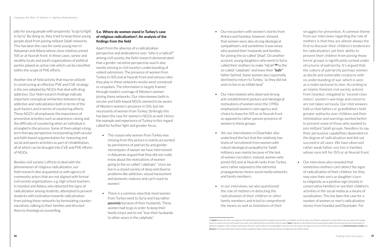jobs for young people with propensity "to go to fight in Syria." By doing so, they tried to keep these young people aloof from joining militant Salafi networks. This has been the case for some young men in Adıyaman and Adana whose close relatives joined ISIS or al-Nusrah front. In these cases, senior and wealthy locals and youth organizations of political parties played an active role which can be classified within the scope of PVE efforts.

Another line of field activity that may be utilized in constructing an effective PVE and CVE strategy is the one adopted by NGOs that deal with drug addiction. Our field research findings indicate important conceptual similarities between drug addiction and radicalization both in terms of the push factors and in terms of countering efforts. These NGO's all emphasize the importance of preventive activities such as awareness raising and the difficulty of countering when an individual is strangled in the process. Some of them adopt a longterm therapy perspective incorporating both secular and faith-based argumentation for reasoning and social and sports activities as part of rehabilitation, all of which can be brought into CVE and PVE efforts of NGOs.

Besides civil society's efforts to deal with the phenomenon of religious radicalization, our field research also acquainted us with agency of community actors that are not aligned with formal civil society organizations, e.g. high school teachers in Istanbul and Adana, who detected the signs of radicalization among students, attempted to prevent students with inclination towards radicalization from joining these networks by formulating counternarratives, talking to their families and directed them to theological counselling.

#### **5.e. Where do women stand in Turkey's case of religious radicalization?: An analysis of the findings from the field**

Apart from the absence of a radicalization perspective and ambivalence over "who is a radical?" among civil society, the field research demonstrated that a gender-sensitive perspective was/is also mostly missing in civil society's understanding of violent extremism. The presence of women from Turkey in ISIS and al-Nusrah front and various roles they play in these networks mostly went unnoticed or unspoken. The information is largely framed through media's coverage of Western women joining these networks. Our interviewees both in secular and faith-based NGOs seemed to be aware of Western women's presence in ISIS, but not necessarily of women from Turkey. Strikingly this has been the case for women's NGOs as well. Hence the example and experience of Turkey in this regard called for further light and greater focus.

- The reason why women from Turkey was missing from this picture is mainly accounted by persistence of patriarchy and gender stereotypes. A lawyer we have interviewed in Adıyaman argued that they did not really know about the motivations of women going to the so-called "caliphate", "since we live in a closed society of deep and diverse problems like addiction, sexual harassment and domestic violence and can't reach to women."
- There is a common view that most women from Turkey went to Syria and Iraq rather *passively* because of their husbands. These women had to go in order to keep their family intact and to not "lose their husbands to other wives in the caliphate."
- Our encounters with women's stories from Ankara and İstanbul, however, showed that women were also strong ideological sympathizers and sometimes it was wives who pushed their husbands and families for joining the so-called "jihad". On another account, young daughters who went to Syria called their mothers to make "hijrah"**58** to the so-called "caliphate" and leave their *"kafir"*  father behind. Some women also reportedly declined to return to Turkey, "as they did not wish to live in an infidel land."
- Our interviewees who observed strong anti-establishment posture and ideological motivations of women since the 1990s emphasized women's own agency and choice to leave for ISIS or al-Nusrah front as opposed to rather passive presence of women in these groups.
- Yet, our interviewees in Diyarbakır also underlined the fact that the relatively low levels of recruitment from women with robust ideological sympathy for Salafi militancy was mainly because of the lack of women recruiters. Instead, women who joined ISIS and al-Nusrah ranks from Turkey were rather exposed to the extremist propaganda by means social media networks and family members.
- In our interviews, we also questioned the role of mothers in detecting the radicalization of their children or other family members and tried to comprehend the means as well as limitations of their

struggles for prevention. A common theme from our interviews regarding the role of mothers is that they are almost always the first to discover their children's tendencies for radicalization, yet their ability to prevent their children from joining those terror groups is significantly curbed under structures of patriarchy. It's argued that the culture of patriarchy portrays women as docile and vulnerable creatures with no understanding of war, which is seen as a realm exclusive to men. According to an Islamic feminist civil society activist from İstanbul, relegated to "second-class status", women's warnings and concerns are not taken seriously. Our interviewees told us that fathers or grandfathers held greater authority over children and their intimidation and warnings worked better to prevent some of those who wanted to join militant Salafi groups. Needless to say, their persuasive capabilities depended on the degree of radicalization and did not succeed in all cases. We have observed rather weak father-son ties in families whose sons left for ISIS or al-Nusrah front.

• Our interviews also revealed that sometimes mothers can't detect the signs of radicalization of their children, for they may view their son's or daughter's turn to religiosity as a positive sign (mostly in conservative families) or see their children's activities in the social media as a means of socialization. This has been the case for a number of women or men's radicalization stories from İstanbul and Diyarbakır. For

<sup>58</sup> *Hijrah* historically refers to migration of Prophet Mohammad and his companions from Mecca to Madina in 622 as well as any Muslim's migration to a land where s/he can practice his religion freely. In a bid to recruit more people to its ranks, ISIS called Muslims around the world to make "*hijrah*"/migrate to ISIS-held territories spanning through Syria and Iraq and start living under its declared caliphate. In the context of extremism, the term came to denote a foreign fighter's journey from his country of origin to terrorist-held territories abroad. See *Oxford Dictionary of Islam* and *Glossary* of Counter Extremism Project, online available at <https://www.counterextremism.com/glossary> for further details.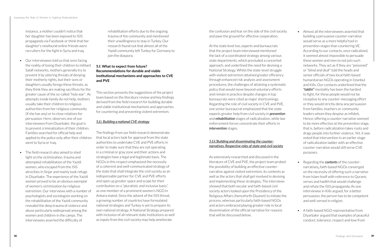instance, a mother couldn't notice that her daughter has been exposed to ISIS propaganda via Facebook or think that her daughter's newfound online friends were recruiters for the fight in Syria and Iraq.

- Our interviewees told us that once facing the reality of losing their children to militant Salafi networks, mothers generally try to prevent it by uttering threats of denying their motherly rights, but their sons or daughters usually forego these threats, as they think they are making sacrifices for the greater cause of the so-called "holy war". As attempts inside family do not help, mothers usually take their children to religious authorities from her religious community (if she has any) or to close relatives for persuasion. Here, observes one of our interviewees from Diyarbakır, the goal is to prevent criminalization of their children. Families searched for official help and applied to the police only after their children went to Syria or Iraq.
- The field research also aimed to shed light on the victimization, trauma and attempted rehabilitation of the Yazidi women, who escaped from the ISIS atrocities in Sinjar and mainly took refuge in Diyarbakır. The experience of the Yazidi women proved to be an obvious exemplar of women's victimization by religious extremism. Our interviews with a number of psychologists and sociologists working on the rehabilitation of the Yazidi community revealed the deep trauma of violence and abuse particularly widespread among the women and children in the camps. The interviewees asserted the difficulty of

rehabilitation efforts due to the ongoing trauma of the community and mentioned their unwillingness to stay in Turkey. Our research found out that almost all of the Yazidi community left Turkey for Germany to join the diaspora.

#### **5.f. What to expect from future? Recommendations for durable and viable institutional mechanisms and approaches to CVE and PVE**

This section presents the suggestions of the project team based on the literature review and key findings derived from the field research for building durable and viable institutional mechanisms and approaches for countering and preventing violent extremism.

#### *5.f.i. Building a national CVE strategy*

The findings from our field research demonstrate that local actors look for approval from the state authorities to undertake CVE and PVE efforts in order to make sure that they are not operating in a criminal or gray zone and their actions and strategies have a legal and legitimate basis. The NGOs in this respect emphasized the necessity of a coherent and well-communicated strategy of the state that shall integrate the civil society as an indispensable partner for CVE and PVE efforts and open up greater space and scope for their contribution on a "pluralistic and inclusive basis", as one member of a prominent women's NGO in Ankara stated. Since the advent of the ISIS threat, a growing number of countries have formulated national strategies and Turkey is yet to prepare its own national strategy. A National Strategy prepared with inclusion of all relevant state institutions as well as inputs from the civil society may help ameliorate

the confusion and fear on the side of the civil society and pave the ground for effective cooperation.

At the state level too, experts and bureaucrats that the project team interviewed mentioned the lack of a coordinated strategy among various state departments, which precluded a concerted approach, and underlined the need for devising a National Strategy. Whilst the state-level struggle with violent extremism attained greater efficiency through enhanced risk analysis and assessment procedures, the challenges of attaining a systematic policy that would move beyond voluntary efforts and remain in practice despite changes in top bureaucrats were cited as major shortcomings. Regarding the role of civil society in CVE and PVE, one senior bureaucrat emphasized that the state expects greater help from civil society in *prevention*  and *rehabilitation* stages of radicalization, while law enforcement forces concentrate their efforts in *intervention* stages.

#### *5.f.ii.'Building and disseminating the counternarratives: Respective roles of state and civil society*

As extensively researched and discussed in the literature of CVE and PVE, the project team probed the possibility of building an effective counternarrative against violent extremism, its contents as well as the actors that shall get involved in devising and implementing these strategies**.** The interviews showed that both secular and faith-based civil society actors looked upon the Presidency of the Religious Affairs (henceforth Diyanet) to initiate the process, whereas particularly faith-based NGOs and actors embraced playing greater role in local dissemination of the official narrative for reasons that will be discussed below.

- Almost all the interviewees asserted that building a persuasive counter-narrative would serve as a more helpful tool in prevention stages than countering VE. According to our contacts, once radicalized, it seemed almost impossible to persuade these women and men to not join such networks. They act as if they are "poisoned" or "blind and deaf" told the heads and senior officials of two local faith-based humanitarian NGOs operating in İstanbul and Kilis. Our contacts underlined that the *"takfiri"* mentality has been the hardest to fight, for these people would not be receptive to any counter-messaging effort or they would strictly deny any persuasion from families, teachers or community leaders whom they despise as infidels. Hence, offering a counter-narrative seemed to be more effective at the prevention stage, that is, before radicalization takes roots and drags people into further violence. Yet, it was noted that intervention in an earlier stage of radicalization ladder with an effective counter-narrative would still serve CVE purposes.
- Regarding the *contents* of the counternarratives**,** faith-based NGOs converged on the necessity of offering such a narrative from Islam itself with reference to Quranic verses and hadith that would challenge and refute the ISIS propaganda. As one interviewee in Kilis argued, for a better persuasion, the person has to be competent and well-versed in religion.
- A faith-based NGO representative from Diyarbakır argued that examples of peaceful conduct, tolerance, respect and love from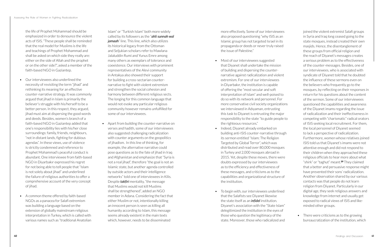the life of Prophet Mohammad should be emphasized in order to denounce the violent acts of ISIS. "These people shall be reminded that the real model for Muslims is the life and teachings of Prophet Mohammad and shall be asked on which side they really are: either on the side of Allah and the prophet or on the other side?", asked a member of the faith-based NGO in Gaziantep.

- Our interviewees also underlined the necessity of revisiting the term "jihad" and rethinking its meaning for an effective counter-narrative strategy. It was commonly argued that jihad in Islam is primarily the believer's struggle with his/herself to be a better person. In this respect, they argued, jihad must aim at dispersing the good words and deeds. Besides, women's branch of a faith-based NGO in Gaziantep added that one's responsibility lies with his/her close surroundings: family, friends, neighbours, "not in distant lands, fighting for dubious agendas". In these views, use of violence is strictly condemned and reference to Prophet Mohammad's peaceful conduct is abundant. One interviewee from faith-based NGO in Diyarbakır expressed his regret for not being able to tell people that "Islam is not solely about jihad" and underlined the failure of religious authorities to offer a comprehensive account of the very concept of jihad.
- A common theme offered by faith-based NGOs as a panacea for Salafi extremism was building a language based on the extension of globally mainstream religious interpretation in Turkey, which is called with various names such as "traditional Anatolian

Islam" or "Turkish Islam" both more widely called by its followers as the "*ahli sunnah wal jamaah*" line. This line, which also utilizes its historical legacy from the Ottoman and Seljukian scholars refer to Mawlana Jalaluddin Rumi and Yunus Emre among many others as exemplars of tolerance and coexistence. Our interviews with prominent representatives of the Alevi community in Antakya also showed their support for building a cross-sectarian counternarrative to fight with violent extremism and strengthen the social cohesion and harmony between different religious sects. The longing for this common language that would not evoke any particular religious community however remains unfulfilled for some of our interviewees.

• Apart from building the counter-narrative on verses and hadith, some of our interviewees also suggested challenging radicalization with counter arguments on the geopolitics of jihadism. In this line of thinking, for example, the alternative narrative could pose questions as to the fate of jihad in Iraq and Afghanistan and emphasize that "Syria is not a real jihad", therefore "the goal is not an Islamic state, but another agenda controlled by outside actors and their intelligence networks" told one of interviewees in Kilis. Despite *takfiri* mentality, "the message that Muslims would not kill Muslims shall be strengthened", added an NGO member in Adana. Considering the fact that either Muslim or not, intentionally killing an innocent person is seen as killing all humanity according to Islam, this message seems already existent in the main texts which, however, needs to be disseminated

more effectively. Some of our interviewees also proposed questioning "why ISIS as an Islamic group has not targeted Israel in its propaganda or deeds or never truly raised the issue of Palestine."

- Most of our interviewees suggested that Diyanet shall undertake the mission of building and dispersing the counternarrative against radicalization and violent extremism. For one of our interviewees in Diyarbakır, the institution is capable of offering the "most secular and soft interpretation of Islam" and well-poised to do so with its network and personnel. For more conservative civil society organizations we interviewed in Adıyaman, entrusting this task to Diyanet is entrusting the major responsibility to the state "to guide people to the righteous resources."
- Indeed, Diyanet already embarked on building anti-ISIS counter-narrative through its sermon entitled "Islam: The Religion Targeted by Global Terror", which was distributed and read over 80,000 mosques in Turkey and 2,000 mosques abroad in 2015. Yet, despite these moves, there were doubts expressed by our interviewees as to the efficiency and effectiveness of these messages, and criticisms as to the capabilities and organizational structure of the institution.
- To begin with, our interviewees underlined that the Salafists see Diyanet likewise the state itself as an *infidel* institution. Diyanet's association with the "State Islam" delegitimized the institution in the eyes of those who question the legitimacy of the state. Moreover, those who radicalized and

joined the violent extremist Salafi groups in Syria and Iraq long ceased going to the state mosques, instead created their own masjids. Hence, the disentanglement of these groups from official religion and the reach of Diyanet's messages creates a serious problem as to the effectiveness of the counter-messages. Besides, one of our interviewees, who is associated with syndicate of Diyanet told that he doubted the influence of these sermons even on the believers who frequently go to the mosques, by reflecting on their responses in return for his questions about the content of the sermon. Some of our interviewees questioned the capabilities and awareness of the Diyanet imams regarding the issue of radicalization and their ineffectiveness in competing with "charismatic" radical orators of ISIS seeking local recruitment. For them, the local personnel of Diyanet seemed to lack a perspective of radicalization. Furthermore, women whose relatives joined ISIS told us that Diyanet's imams were not attentive enough and did not respond to their children when they approached these religious officials to hear more about what "shirk" or "taghut" meant.**<sup>59</sup>** They claimed that a better and persuasive response might have prevented their sons' radicalization. Another observation shared by our various contacts was that people do not learn religion from Diyanet. Particularly in our digital age, they seek religious answers and knowledge from internet and usually get exposed to radical views of ISIS and likeminded other groups.

• There were criticisms as to the growing bureaucratization of the institution, which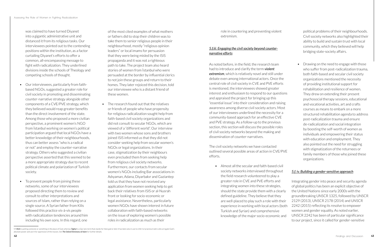was claimed to have turned Diyanet into a gigantic administrative unit and distanced it from its religious tasks. Our interviewees pointed out to the contending positions within the institution, as a factor curtailing Diyanet's efforts to offer a common, all-encompassing message to fight with radicalization. They underlined divisions inside the schools of Theology and competing schools of thought.

- Our interviewees, particularly from faithbased NGOs, suggested a greater role for civil society in promoting and disseminating counter-narrative strategy alongside other components of a CVE/PVE strategy, which they believed would reap greater benefits than the direct involvement of the state. Among those who proposed a more civilian perspective, a prominent women's NGO from İstanbul working on women's political participation argued that local NGOs have a better knowledge of their neighbourhoods, thus can better assess "who is a radical or not" and employ the counter-narrative strategy. Others who suggested a civilian perspective asserted that this seemed to be a more appropriate strategy due to recent political climate and polarization of Turkish society.
- To prevent people from joining these networks, some of our interviewees proposed directing them to review and consult to other interpretations and sources of Islam, rather than relying on a single source. A Syrian father from Kilis followed this practice vis-à-vis people with radicalization tendencies around him including his own sons. In this regard, one

of the most cited examples of what mothers or fathers did to stop their children was to take them to senior religious people in their neighbourhood, mostly "religious opinion leaders" or local imams for persuasion that they were being misled by the ISIS propaganda and it was not a righteous path to take. The project team also heard stories of women from İstanbul who were persuaded at the border by influential clerics to not join these groups and return to their homes. They later rejoiced this decision, told our interviewee who is a distant friend of these women.

• The research found out that the relatives or friends of people who have propensity for religious radicalization sought help from faith-based civil society organizations and did not consult to secular NGOs, which are viewed of a "different world". Our interview with two women whose sons and brothers joined ISIS informed us that they did not consider seeking help from secular women's NGOs or legal organizations. In their case, stigmatization by their neighbours even precluded them from seeking help from religious civil society networks. Furthermore, our contacts from secular women's NGOs including Bar associations in Adıyaman, Adana, Diyarbakır and Gaziantep told us that they have not received any application from women seeking help to get back their relatives from ISIS or al-Nusrah front or looking for socio-economic or legal assistance. Nevertheless, particularly women NGOs have shown interest in future collaboration with faith-based networks on the issue of exploring women's possible roles in radicalization as much as their

role in countering and preventing violent extremism.

#### *5.f.iii. Engaging the civil society beyond counternarrative efforts*

As noted before, in the field, the research team had to introduce and clarify the term *violent extremism*, which is relatively novel and still under debate even among international actors. Once the central role of civil society in CVE and PVE efforts is mentioned, the interviewees showed greater interest and enthusiasm to respond to our questions and appraised the project for bringing up this "essential issue" into their consideration and raising awareness among diverse civil society actors. Most of our interviewees underlined the necessity for a community-based approach for an effective CVE and PVE strategy. As a follow-up to the previous section, this section will discuss the possible roles of civil society networks beyond the making and dissemination of counter-narratives.

The civil society networks we have contacted outlined several possible areas of action in CVE/PVE efforts.

• Almost all the secular and faith-based civil society networks interviewed throughout the field research volunteered to play a greater role in CVE and PVE efforts and integrating women into these strategies, should the state provide them with a clearly defined guideline. They believe that they are well-placed to play such a role with their experience in working with local actors (both Turkish and Syrian) and comprehensive knowledge of the major socio-economic and

political problems of their neighbourhoods. Civil society networks also highlighted their ability to build and sustain trust with local community, which they believed will help bridging state-society affairs.

• Drawing on the need to engage with those who suffer from post-radicalization trauma, both faith-based and secular civil society organizations mentioned the necessity of providing institutional support for rehabilitation and resilience of women. They drew on extending their present psychosocial therapy sessions, educational and vocational activities, art and crafts courses as means to embark on a more structured rehabilitation agenda to address post-radicalization trauma and ensure de-radicalization and social integration by boosting the self-worth of women as individuals and empowering their status with education and employment. They also pointed out the need for struggling with stigmatization of the returnees or family members of those who joined these organizations.

#### *5.f. iv. Building a gender-sensitive approach*

Integrating gender into peace and security agenda of global politics has been an explicit objective of the United Nations since early 2000s with the groundbreaking UNSCR 1325, followed by UNSCR 2129 (2013), UNSCR 2178 (2014) and UNSCR 2242 (2015) reflecting its resolve to empower women and gender equality. As noted earlier, UNSCR 2242 has been of particular significance to our project, since it called for gender-sensitive

<sup>59</sup> *Shirk* is putting someone or something in the place of God, whereas *Taghut* is a Qur'anic term that stands for false god or idol. It has been also in use to refer to tyrannical rulers who arrogate God's absolute power and use it for oppression of the masses. See *The Oxford Dictionary of Islam* for further details.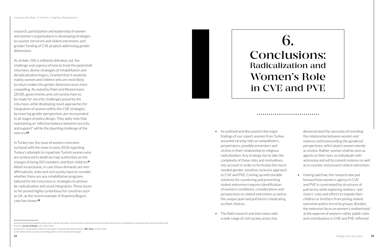research, participation and leadership of women and women's organizations in developing strategies to counter terrorism and violent extremism, and greater funding of CVE projects addressing gender dimensions.

As of date, ISIS is militarily defeated, yet, the challenge and urgency of how to treat the (potential) returnees, devise strategies of rehabilitation and deradicalization lingers. Granted that it would be mainly women and children who are most likely to return makes the gender dimension even more compelling. As noted by Patel and Westermann (2018), governments and civil society have to be ready for security challenges posed by the returnees, while developing novel approaches for integration of women within the CVE strategies by ensuring gender perspectives are incorporated to all stages of policy design. They aptly note that maintaining an "effective balance between security and support" will be the daunting challenge of the new era.**<sup>60</sup>**

In Turkey too, the issue of women returnees surfaced with the news in early 2018 regarding Turkey's attempts to repatriate Turkish women who are sentenced to death by Iraqi authorities on the charges of being ISIS members and their children.**<sup>61</sup>** Albeit inconclusive, in case these demands are met affirmatively, state and civil society have to consider whether there are any rehabilitative programs tailored for the returnees or strategies to achieve de-radicalization and social integration. These issues so far proved highly contentious for countries such as UK, as the recent example of Shamima Begum case has shown.**<sup>62</sup>**

- As outlined and discussed in the major findings of our report, women from Turkey assumed varying roles as sympathizers, perpetrators, possible preventers and victims in their relationship to religious radicalization. Any strategy has to take the complexity of these roles and motivations into account in order to formulate the muchneeded gender-sensitive, inclusive approach to CVE and PVE. Coming up with durable solutions for countering and preventing violent extremism requires identification of women's conditions, considerations and perspectives on violent extremism as well as the unique push and pull factors implicating on their choices.
- The field research and interviews with a wide range of civil society actors has

demonstrated the necessity of revisiting the relationship between women and violence and transcending the gendered perspectives, which depict women merely as victims. Rather, women shall be seen as agents on their own, as individuals with autonomy and will to commit violence as well as to counter and prevent violent extremism.

• Having said that, the research also put forward how women's agency in CVE and PVE is constrained by structures of patriarchy while exploring mothers' and sisters' roles and efforts to impede their children or brothers from joining violent extremist and/or terrorist groups. Besides, the extensive focus on women's motherhood at the expense of women's other public roles and contributions in CVE and PVE reflected



## 6. Conclusions: Radicalization and Women's Role in CVE and PVE

#### 

<sup>60</sup> See Sofia Patel and Jacqueline Westermann, "Women and Islamic-State Terrorism: An Assessment of How Gender Perspectives are Integrated in Countering Violent Extremism Policy and Practices". *Security Challenges*, 14:2, 2018, 53-81.

<sup>61</sup> Selin Girit, "Irak'ta tutuklu 'IŞİD'in aile mensupları' Türkiye'ye iade edilmeyi bekliyor", *BBC Türkçe*, 23 Mart 2018. 62 For further details, see<https://www.theguardian.com/uk-news/shamima-begum>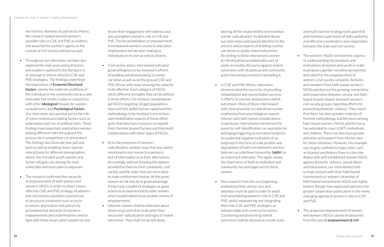the intrinsic elements of patriarchy. Hence, the research looked beyond women's possible roles in CVE and PVE as mothers and searched for women's agency in the context of civil society activism as well.

- Throughout our interviews, we have also explored the main push and pull factors and enablers outlined in the literature in an attempt to inform effective CVE and PVE strategies. The findings underlined the importance of *Economic/Structural Factors*, namely the material conditions of the individual or the community not as a sole motivator but mostly in play in conjunction with other *Ideological* (heavily for women sympathizers) and *Psychological Factors*. Our interviews also pointed out to the role of some contextual enabling factors such as polarization and rise of political Islam. These findings have important implications women playing different roles throughout the process be it sympathizers or preventers. The findings also illustrate how pull and push as well as enabling factor operate interactively for different demographics where non-enrolled youth, women and Syrian refugees are among the most vulnerable and most open to exposure.
- The research confirmed the necessity of empowerment of both women and women's NGOs in order to attain a more effective CVE and PVE strategy. Academics and civil society volunteers pointed out to structural constraints such as socioeconomic deprivation and patriarchy as fundamental obstacles to women's empowerment and underlined the need to fight with these issues which would not only

lessen their engagement with violence, but also strengthen women's role in CVE and PVE. The broad definition of empowerment encompassed women's access to education, employment and decision-making as individuals on its own as well as citizens.

- In CVE and PVE efforts, interviews demonstrated the necessity of providing rehabilitation and reconciliation services in efforts to counter and prevent violent extremism. Many of those interviewed with close proximity to radicalized women emphasized how psychological reasons interact with faith-based considerations. In particular, interviewees mentioned the quest for self-identification, an aspiration for belonging triggering an increased tendency to a potential negative evaluation of an outgroup in the form of a declaration and degradation of both non-believers and less believers as unbeliever/unworthy (*takfiri*) as an important motivator. This again, shows the importance of both an individual and community-focused approach to these women.
- Our research from the very beginning emphasized that utmost care and attention must be paid in order to avoid instrumentalizing women's role in CVE and PVE, whilst empowering and integrating them into CVE and PVE strategies as indispensable and constructive actors. Countering and preventing violent extremism shall be devised as a multi-actor
- Civil society actors interviewed indicated great willingness to be involved in efforts of building and disseminating a counter narrative as well as on the ground CVE and PVE efforts, with many showing the capacity to be effective. Each category of NGOs elicits different strengths that can be utilized in these efforts. For instance, humanitarian aid NGO's targeting refugee populations have both the skilled human capital and the methodology to be involved in prevention and rehabilitation aspects of these effort, given that they have resources to expand their clientele beyond Syrians and they build collaborations with other types of NGOs.
- As to the processes of women's radicalization, another issue that was widely mentioned in our research is women's lack of information as to their alternatives. Accordingly, without knowing the options provided to them by their community, civil society and the state, they are more likely to make uninformed choices. At this point, women at risk may be in great advantage if they have a toolkit of strategies or good practices as experienced by other women which would indeed serve another means of empowerment.
- Likewise, women shall be informed about where to go and what to do when they encounter radicalization and signs of violent extremism. They shall not be left alone,
- The women's NGOs stressed the urgency of understanding the problems and motivations of women and youth in order to propose a gender-sensitive perspective and called for the empowerment of women's civil society networks. Activists and members from faith-based women's NGOs pointed out the growing connections and cooperation between secular and faithbased (mostly Islamic feminist) women's civil society groups regarding efforts for preventing domestic violence. They noted that there has been greater embrace of feminist methodology and literature among faith-based women's NGOs and the focus has extended to cover LGBT-Lindividuals and children. There has also been greater attention and support from Muslim men for these initiatives. However, this example was largely confined to major cities such as İstanbul and Ankara. Even in cities like Adana with well-established women NGOs against domestic violence, sexual abuse and harassment, our interviewees told us that contacts with their faith-based counterparts or women's branches of faith-based humanitarian NGOs was highly limited, though they expressed openness for greater cooperation particularly in the newly emerging agenda of women's roles in CVE and PVE.
- The proposed empowerment of women and women's NGOs cannot be detached from the overall *empowerment of civil*

bearing all the responsibility of prevention and de-radicalization. As detailed above, our interviews paid special attention to the process and prospects of building counternarratives to tackle violent extremism. According to those interviewed, women at risk should be provided with a set of easily accessible discourse against violent extremism, with all political and community actors becoming involved in spreading it.

and multi-layered strategy built upon first and foremost supervision of state authority and effective coordination and cooperation between the state and civil society.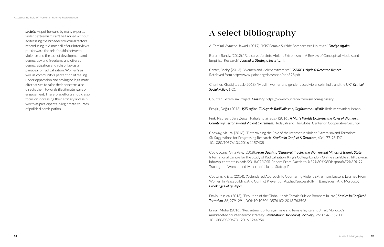*society.* As put forward by many experts, violent extremism can't be tackled without addressing the broader structural factors reproducing it. Almost all of our interviews put forward the relationship between violence and the lack of development and democracy and freedoms and offered democratization and rule of law as a panacea for radicalization. Women's as well as community's perception of feeling under oppression and having no legitimate alternatives to raise their concerns also directs them towards illegitimate ways of engagement. Therefore, efforts should also focus on increasing their efficacy and selfworth as participants in legitimate courses of political participation.

## A select bibliography

Al-Tamimi, Aymenn Jawad. (2017). "ISIS' Female Suicide Bombers Are No Myth". *Foreign Affairs*.

Borum, Randy. (2012). "Radicalization into Violent Extremism II: A Review of Conceptual Models and Empirical Research". *Journal of Strategic Security*, 4:4.

Carter, Becky. (2013). "Women and violent extremism". *GSDRC Helpdesk Research Report*. Retrieved from<http://www.gsdrc.org/docs/open/hdq898.pdf>

Chantler, Khatidja. et al. (2018). "Muslim women and gender based violence in India and the UK". *Critical Social Policy*. 1-21.

Counter Extremism Project. *Glossary*. <https://www.counterextremism.com/glossary>

Eroğlu, Doğu. (2018). *IŞİD Ağları: Türkiye'de Radikalleşme, Örgütlenme, Lojistik*. İletişim Yayınları, İstanbul.

Fink, Naureen. Sara Zeiger, Rafia Bhulai (eds.). (2016). *A Man's World? Exploring the Roles of Women in Countering Terrorism and Violent Extremism*. Hedayah and The Global Center on Cooperative Security.

Conway, Maura. (2016). "Determining the Role of the Internet in Violent Extremism and Terrorism: Six Suggestions for Progressing Research". *Studies in Conflict & Terrorism*, 40:1, 77-98, DOI: 10.1080/1057610X.2016.1157408

Cook, Joana. Gina Vale. (2018). *From Daesh to 'Diaspora': Tracing the Women and Minors of Islamic State*. International Centre for the Study of Radicalisation, King's College London. Online available at: https://icsr. info/wp-content/uploads/2018/07/ICSR-Report-From-Daesh-to-%E2%80%98Diaspora%E2%80%99- Tracing-the-Women-and-Minors-of-Islamic-State.pdf

Couture, Krista. (2014). "A Gendered Approach To Countering Violent Extremism: Lessons Learned From Women In Peacebuilding And Conflict Prevention Applied Successfully In Bangladesh And Morocco". *Brookings Policy Paper*.

Davis, Jessica. (2013), "Evolution of the Global Jihad: Female Suicide Bombers in Iraq", *Studies in Conflict & Terrorism*, 36, 279–291, DOI: 10.1080/1057610X.2013.763598

Ennaji, Moha. (2016). "Recruitment of foreign male and female fighters to Jihad: Morocco's multifaceted counter-terror strategy". *International Review of Sociology*, 26:3, 546-557, DOI: 10.1080/03906701.2016.1244954

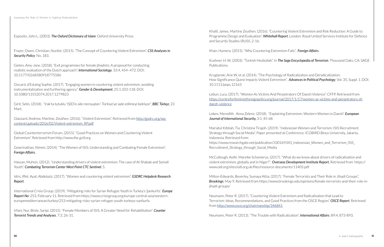Esposito, John L. (2003). *The Oxford Dictionary of Islam*. Oxford University Press.

Frazer, Owen. Christian, Nunlist. (2015). "The Concept of Countering Violent Extremism", *CSS Analyses in Security Policy*. No. 183.

Gielen, Amy-Jane. (2018). "Exit programmes for female jihadists: A proposal for conducting realistic evaluation of the Dutch approach". *International Sociology*. 33:4, 454–472. DOI: 10.1177/0268580918775586

Giscard, d'Estaing Sophie. (2017). "Engaging women in countering violent extremism: avoiding instrumentalisation and furthering agency". *Gender & Development*, 25:1,103-118. DOI: 10.1080/13552074.2017.1279823

Girit, Selin. (2018). "Irak'ta tutuklu 'IŞİD'in aile mensupları' Türkiye'ye iade edilmeyi bekliyor", *BBC Türkçe*, 23 Mart.

Glazzard, Andrew. Martine, Zeuthen. (2016). "Violent Extremism". Retrieved from http://gsdrc.org/wpcontent/uploads/2016/02/Violent-extremism\_RP.pdf

Global Counterterrorism Forum. (2015). "Good Practices on Women and Countering Violent Extremism". Retrieved from http://www.the gctf.org

Gowrinathan, Nimmi. (2014). "The Women of ISIS: Understanding and Combating Female Extremism", *Foreign Affairs.*

Hassan, Muhsin. (2012). "Understanding drivers of violent extremism: The case of Al-Shabab and Somali Youth". *Combating Terrorism Center West Point CTC Sentinel*, 5.

Idris, Iffet. Ayat, Abdelaziz. (2017). "Women and countering violent extremism", *GSDRC Helpdesk Research Report*.

International Crisis Group. (2019). "Mitigating risks for Syrian Refugee Youth in Turkey's Şanlıurfa". *Europe Report No*: 253, February 11. Retrieved from [https://www.crisisgroup.org/europe-central-asia/western](https://www.crisisgroup.org/europe-central-asia/western-europemediterranean/turkey/253-mitigating-risks-syrian-refugee-youth-turkeys-sanliurfa)[europemediterranean/turkey/253-mitigating-risks-syrian-refugee-youth-turkeys-sanliurfa](https://www.crisisgroup.org/europe-central-asia/western-europemediterranean/turkey/253-mitigating-risks-syrian-refugee-youth-turkeys-sanliurfa)

Irfani, Nur. Binte, Saripi. (2015). "Female Members of ISIS: A Greater Need for Rehabilitation". *Counter Terrorist Trends and Analyses*, 7:3, 26-31.

Khalil, James. Martine Zeuthen. (2016). "Countering Violent Extremism and Risk Reduction: A Guide to Programme Design and Evaluation". *Whitehall Report*. London: Royal United Services Institute for Defence and Security Studies (RUSI), 2-16.

Khan, Humera. (2015). "Why Countering Extremism Fails". *Foreign Affairs*.

Kushner, H. W. (2003). "Turkish Hezbollah". In *The Sage Encyclopedia of Terrorism*. Thousand Oaks, CA: SAGE Publications.

Kruglanski, Arie W. et al. (2014). "The Psychology of Radicalization and Deradicalization: How Significance Quest Impacts Violent Extremism". *Advances in Political Psychology*, Vol. 35, Suppl. 1. DOI: 10.1111/pops.12163

Lebun, Lucy. (2017). "Women As Victims And Perpetrators Of Daesh Violence". CFFP. Retrieved from https://centreforfeministforeignpolicy.org/journal/2017/1/17/women-as-victims-and-perpetrators-ofdaesh-violence

Loken, Meredith. Anna Zelenz. (2018). "Explaining Extremism: Western Women in Daesh". *European Journal of International Security,* 3:1, 45-68.

Mariatul Kibtiah, Tia. Christina Tirajoh. (2019). "Indonesian Women and Terrorism: ISIS Recruitment Strategy through Social Media". Paper presented at Conference: ICOBIRD Binus University, Jakarta, Indonesia. Retrieved from: [https://www.researchgate.net/publication/330169343\\_Indonesian\\_Women\\_and\\_Terrorism\\_ISIS\\_](https://www.researchgate.net/publication/330169343_Indonesian_Women_and_Terrorism_ISIS_Recruitment_Strategy_through_Social_Media) [Recruitment\\_Strategy\\_through\\_Social\\_Media](https://www.researchgate.net/publication/330169343_Indonesian_Women_and_Terrorism_ISIS_Recruitment_Strategy_through_Social_Media) 

McCullough, Aoife. Mareike Schomerus. (2017). "What do we know about drivers of radicalisation and violent extremism, globally and in Niger?". *Overseas Development Institute Report.* Retrieved from [https://](https://www.odi.org/sites/odi.org.uk/files/resource-documents/11405.pdf) [www.odi.org/sites/odi.org.uk/files/resource-documents/11405.pdf](https://www.odi.org/sites/odi.org.uk/files/resource-documents/11405.pdf) 

Milton-Edwards, Beverley. Sumaya Attia. (2017). "Female Terrorists and Their Role in Jihadi Groups", *Brookings*. May 9. Retrieved from [https://www.brookings.edu/opinions/female-terrorists-and-their-role-in](https://www.brookings.edu/opinions/female-terrorists-and-their-role-in-jihadi-groups/)[jihadi-groups/](https://www.brookings.edu/opinions/female-terrorists-and-their-role-in-jihadi-groups/) 

Neumann, Peter R. (2017). "Countering Violent Extremism and Radicalisation that Lead to Terrorism: Ideas, Recommendations, and Good Practices from the OSCE Region". *OSCE Report*. Retrieved from http://www.osce.org/chairmanship/346841

Neumann, Peter R. (2013). "The Trouble with Radicalization". *International Affairs*. 89:4, 873-893.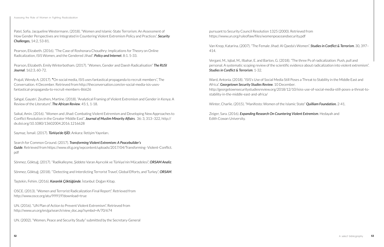pursuant to Security Council Resolution 1325 (2000). Retrieved from <https://www.un.org/ruleoflaw/files/womenpeaceandsecurity.pdf>

Van Knop, Katarina. (2007). "The Female Jihad: Al Qaeda's Women". *Studies in Conflict & Terrorism*. 30, 397– 414.

Vergani, M., Iqbal, M., Ilbahar, E. and Barton, G. (2018). "The three Ps of radicalization: Push, pull and personal. A systematic scoping review of the scientific evidence about radicalization into violent extremism". *Studies in Conflict & Terrorism*. 1-32.

Ward, Antonia. (2018). "ISIS's Use of Social Media Still Poses a Threat to Stability in the Middle East and Africa". *Georgetown Security Studies Review*. 10 December. [http://georgetownsecuritystudiesreview.org/2018/12/10/isiss-use-of-social-media-still-poses-a-threat-to](http://georgetownsecuritystudiesreview.org/2018/12/10/isiss-use-of-social-media-still-poses-a-threat-to-stability-in-the-middle-east-and-africa/)[stability-in-the-middle-east-and-africa/](http://georgetownsecuritystudiesreview.org/2018/12/10/isiss-use-of-social-media-still-poses-a-threat-to-stability-in-the-middle-east-and-africa/)

Winter, Charlie. (2015). "Manifesto: Women of the Islamic State" *Quilliam Foundation.* 2-41.

Zeiger, Sara. (2016). *Expanding Research On Countering Violent Extremism*. Hedayah and Edith Cowan University.

Patel, Sofia. Jacqueline Westermann. (2018). "Women and Islamic-State Terrorism: An Assessment of How Gender Perspectives are Integrated in Countering Violent Extremism Policy and Practices". *Security Challenges,* 14:2, 53-81.

Pearson, Elizabeth. (2016). "The Case of Roshonara Choudhry: Implications for Theory on Online Radicalization, ISIS Women, and the Gendered Jihad". *Policy and Internet*. 8:1. 5-33.

Pearson, Elizabeth. Emily Winterbotham. (2017). "Women, Gender and Daesh Radicalisation" *The RUSI Journal*. 162:3, 60-72.

Prajuli, Wendy A. (2017). **"**On social media, ISIS uses fantastical propaganda to recruit members", The Conversation. 4 December. Retrieved from [http://theconversation.com/on-social-media-isis-uses](http://theconversation.com/on-social-media-isis-uses-fantastical-propaganda-to-recruit-members-86626)[fantastical-propaganda-to-recruit-members-86626](http://theconversation.com/on-social-media-isis-uses-fantastical-propaganda-to-recruit-members-86626) 

Sahgal, Gayatri. Zeuthen, Martine. (2018). "Analytical Framing of Violent Extremism and Gender in Kenya: A Review of the Literature". *The African Review*. 45:1, 1-18.

Saikal, Amin. (2016). "Women and Jihad: Combating Violent Extremism and Developing New Approaches to Conflict Resolution in the Greater Middle East". *Journal of Muslim Minority Affairs*. 36: 3, 313–322, [http://](http://dx.doi.org/10.1080/13602004.2016.1216628) [dx.doi.org/10.1080/13602004.2016.1216628](http://dx.doi.org/10.1080/13602004.2016.1216628) 

Saymaz, İsmail. (2017). *Türkiye'de IŞİD*. Ankara: İletişim Yayınları.

Search for Common Ground. (2017). *Transforming Violent Extremism: A Peacebuilder's Guide*. Retrieved from [https://www.sfcg.org/wpcontent/uploads/2017/04/Transforming- Violent-Conflict.](https://www.sfcg.org/wpcontent/uploads/2017/04/Transforming- Violent-Conflict.pdf) [pdf](https://www.sfcg.org/wpcontent/uploads/2017/04/Transforming- Violent-Conflict.pdf) 

Sönmez, Göktuğ. (2017). "Radikalleşme, Şiddete Varan Aşırıcılık ve Türkiye'nin Mücadelesi", *ORSAM Analiz*.

Sönmez, Göktuğ. (2018). "'Detecting and Interdicting Terrorist Travel', Global Efforts, and Turkey", *ORSAM*.

Taştekin, Fehim. (2016). *Karanlık Çöktüğünde*. İstanbul: Doğan Kitap.

OSCE. (2013). "Women and Terrorist Radicalization Final Report". Retrieved from <http://www.osce.org/atu/99919?download=true>

UN. (2016). "UN Plan of Action to Prevent Violent Extremism". Retrieved from [http://www.un.org/en/ga/search/view\\_doc.asp?symbol=A/70/674](http://www.un.org/en/ga/search/view_doc.asp?symbol=A/70/674) 

UN. (2002). "Women, Peace and Security Study" submitted by the Secretary-General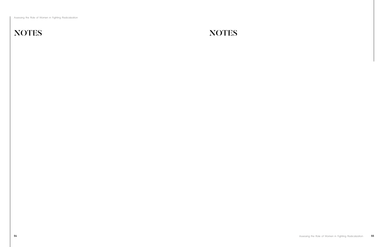Assessing the Role of Women in Fighting Radicalization

## NOTES NOTES

**54** Assessing the Role of Women in Fighting Radicalization **55**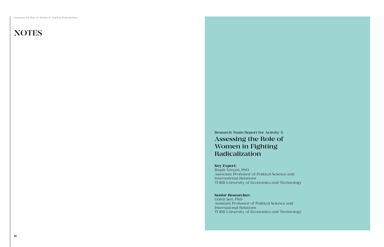Assessing the Role of Women in Fighting Radicalization

## **NOTES**

Research Team Report for Activity-5: Assessing the Role of Women in Fighting Radicalization

#### Key Expert:

Başak Yavçan, PhD Associate Professor of Political Science and International Relations TOBB University of Economics and Technology

#### Senior Researcher:

Gülriz Şen, PhD Assistant Professor of Political Science and International Relations TOBB University of Economics and Technology